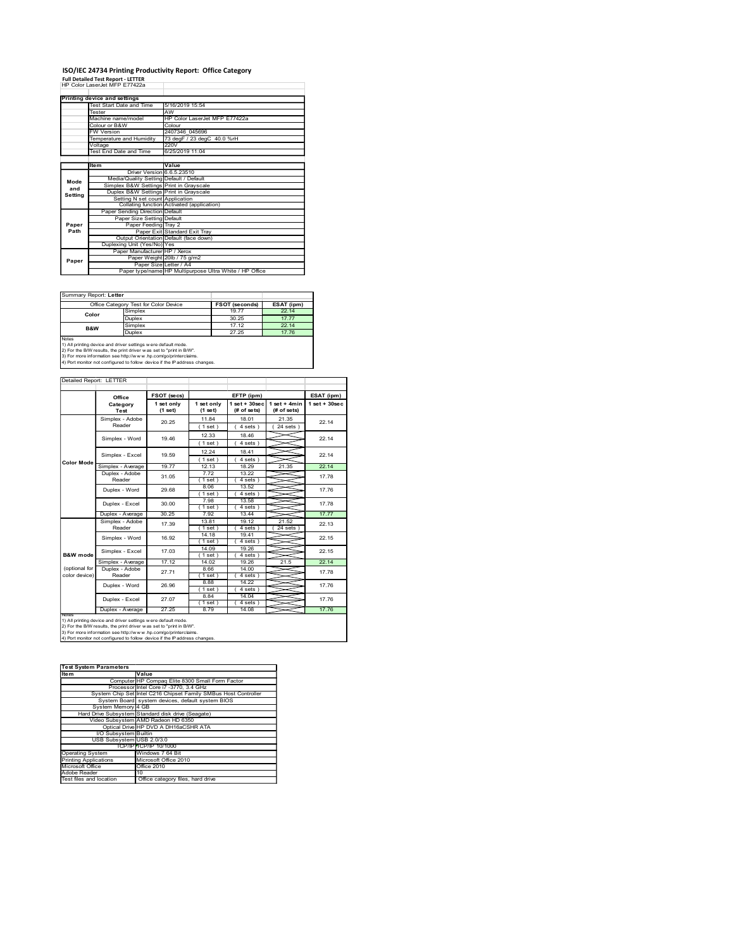## ISO/IEC 24734 Printing Productivity Report: Office Category Full Detailed Test Report - LETTER

|                         | ISO/IEC 24734 Printing Productivity Report: Office Category<br><b>Full Detailed Test Report - LETTER</b>                                      |                                                                           |                               |                                                         |                                |                                |
|-------------------------|-----------------------------------------------------------------------------------------------------------------------------------------------|---------------------------------------------------------------------------|-------------------------------|---------------------------------------------------------|--------------------------------|--------------------------------|
|                         | HP Color LaserJet MFP E77422a                                                                                                                 |                                                                           |                               |                                                         |                                |                                |
|                         | <b>Printing device and settings</b><br>Test Start Date and Time                                                                               | 5/16/2019 15:54                                                           |                               |                                                         |                                |                                |
|                         | Tester<br>Machine name/model                                                                                                                  | AW                                                                        | HP Color LaserJet MFP E77422a |                                                         |                                |                                |
|                         | Colour or B&W<br><b>FW Version</b>                                                                                                            | Colour<br>2407346_045696                                                  |                               |                                                         |                                |                                |
|                         | Temperature and Humidity                                                                                                                      | 220V                                                                      | 73 degF / 23 degC 40.0 %rH    |                                                         |                                |                                |
|                         | Voltage<br>Test End Date and Time                                                                                                             | 6/25/2019 11:04                                                           |                               |                                                         |                                |                                |
|                         | Item                                                                                                                                          | Value<br>Driver Version 6.6.5.23510                                       |                               |                                                         |                                |                                |
| Mode<br>and             | Simplex B&W Settings Print in Grayscale                                                                                                       | Media/Quality Setting Default / Default                                   |                               |                                                         |                                |                                |
| Setting                 |                                                                                                                                               | Duplex B&W Settings Print in Grayscale<br>Setting N set count Application |                               |                                                         |                                |                                |
|                         | Paper Sending Direction Default                                                                                                               | Collating function Activated (application)                                |                               |                                                         |                                |                                |
| Paper                   |                                                                                                                                               | Paper Size Setting Default<br>Paper Feeding Tray 2                        |                               |                                                         |                                |                                |
| Path                    | Output Orientation Default (face down)<br>Duplexing Unit (Yes/No) Yes                                                                         | Paper Exit Standard Exit Tray                                             |                               |                                                         |                                |                                |
|                         |                                                                                                                                               | Paper Manufacturer HP / Xerox                                             |                               |                                                         |                                |                                |
| Paper                   |                                                                                                                                               | Paper Weight 20lb / 75 g/m2<br>Paper Size Letter / A4                     |                               | Paper type/name HP Multipurpose Ultra White / HP Office |                                |                                |
|                         |                                                                                                                                               |                                                                           |                               |                                                         |                                |                                |
| Summary Report: Letter  |                                                                                                                                               |                                                                           |                               |                                                         |                                |                                |
|                         | Office Category Test for Color Device<br>Simplex                                                                                              |                                                                           |                               | <b>FSOT (seconds)</b><br>19.77                          | ESAT (ipm)<br>22.14            |                                |
| Color                   | Duplex<br>Simplex                                                                                                                             |                                                                           |                               | 30.25<br>17.12                                          | 17.77<br>22.14                 |                                |
| <b>B&amp;W</b><br>Notes | Duplex                                                                                                                                        |                                                                           |                               | 27.25                                                   | 17.76                          |                                |
|                         | 1) All printing device and driver settings w ere default mode.<br>2) For the B/W results, the print driver was set to "print in B/W".         |                                                                           |                               |                                                         |                                |                                |
|                         | 3) For more information see http://www.hp.com/go/printerclaims.<br>4) Port monitor not configured to follow device if the IP address changes. |                                                                           |                               |                                                         |                                |                                |
| Detailed Report: LETTER |                                                                                                                                               |                                                                           |                               |                                                         |                                |                                |
|                         |                                                                                                                                               | FSOT (secs)                                                               |                               | EFTP (ipm)                                              |                                |                                |
|                         | Office<br>Category                                                                                                                            | 1 set only<br>(1 set)                                                     | 1 set only<br>(1 set)         | $1 set + 30 sec$<br>(# of sets)                         | $1 set + 4 min$<br>(# of sets) | ESAT (ipm)<br>$1 set + 30 sec$ |
|                         | Test<br>Simplex - Adobe                                                                                                                       | 20.25                                                                     | 11.84                         | 18.01                                                   | 21.35                          |                                |
|                         | Reader                                                                                                                                        |                                                                           | (1 set)<br>12.33              | (4 sets)<br>18.46                                       | (24 sets)                      |                                |
|                         | Simplex - Word                                                                                                                                | 19.46                                                                     | (1 set)                       | (4 sets)                                                |                                |                                |
| <b>Color Mode</b>       | Simplex - Excel                                                                                                                               | 19.59                                                                     | 12.24<br>(1 set)              | 18.41<br>(4 sets)                                       |                                |                                |
|                         | Simplex - Average<br>Duplex - Adobe                                                                                                           | 19.77<br>31.05                                                            | 12.13<br>7.72                 | 18.29<br>13.22                                          | 21.35<br>$\tilde{}$            | 22.14                          |
|                         | Reader                                                                                                                                        |                                                                           | (1 set)<br>8.06               | (4 sets)<br>13.52                                       |                                | 17.78<br>17.76                 |
|                         | Duplex - Word                                                                                                                                 | 29.68                                                                     |                               | $(1 set)$ $(4 sets)$                                    |                                |                                |

|                | Office Category Test for Color Device                                                                                                                                                                            | <b>FSOT (seconds)</b> | ESAT (ipm) |
|----------------|------------------------------------------------------------------------------------------------------------------------------------------------------------------------------------------------------------------|-----------------------|------------|
| Color          | Simplex                                                                                                                                                                                                          | 19.77                 | 22.14      |
|                | Duplex                                                                                                                                                                                                           | 30.25                 | 1777       |
| <b>B&amp;W</b> | Simplex                                                                                                                                                                                                          | 17.12                 | 22.14      |
|                | Duplex                                                                                                                                                                                                           | 27 25                 | 17.76      |
| Notes          | 1) All printing device and driver settings were default mode.<br>2) For the B/W results, the print driver was set to "print in B/W".<br>3) For more information one little (forces) for annular instalant simula |                       |            |

### Detailed Report: LETTER

|                                                  | Tester<br>Machine name/model                                                                                                                  | AW                                                                                        | HP Color LaserJet MFP E77422a |                       |                                |                                |
|--------------------------------------------------|-----------------------------------------------------------------------------------------------------------------------------------------------|-------------------------------------------------------------------------------------------|-------------------------------|-----------------------|--------------------------------|--------------------------------|
|                                                  | Colour or B&W<br><b>W</b> Version                                                                                                             | Colour                                                                                    | 2407346_045696                |                       |                                |                                |
|                                                  | Temperature and Humidity                                                                                                                      |                                                                                           | 73 degF / 23 degC 40.0 %rH    |                       |                                |                                |
|                                                  | Voltage<br>Test End Date and Time                                                                                                             | 220V                                                                                      | 6/25/2019 11:04               |                       |                                |                                |
|                                                  | Item                                                                                                                                          | Value                                                                                     |                               |                       |                                |                                |
|                                                  |                                                                                                                                               | Driver Version 6.6.5.23510                                                                |                               |                       |                                |                                |
| Mode                                             |                                                                                                                                               | Media/Quality Setting Default / Default<br>Simplex B&W Settings Print in Grayscale        |                               |                       |                                |                                |
| and<br>Setting                                   |                                                                                                                                               | Duplex B&W Settings Print in Grayscale<br>Setting N set count Application                 |                               |                       |                                |                                |
|                                                  |                                                                                                                                               | Collating function Activated (application)                                                |                               |                       |                                |                                |
|                                                  |                                                                                                                                               | Paper Sending Direction Default<br>Paper Size Setting Default                             |                               |                       |                                |                                |
| Paper<br>Path                                    |                                                                                                                                               | Paper Feeding Tray 2                                                                      |                               |                       |                                |                                |
|                                                  |                                                                                                                                               | Paper Exit Standard Exit Tray<br>Output Orientation Default (face down)                   |                               |                       |                                |                                |
|                                                  | Duplexing Unit (Yes/No) Yes                                                                                                                   | Paper Manufacturer HP / Xerox                                                             |                               |                       |                                |                                |
| Paper                                            |                                                                                                                                               | Paper Weight 20lb / 75 g/m2                                                               |                               |                       |                                |                                |
|                                                  |                                                                                                                                               | Paper Size Letter / A4<br>Paper type/name HP Multipurpose Ultra White / HP Office         |                               |                       |                                |                                |
|                                                  |                                                                                                                                               |                                                                                           |                               |                       |                                |                                |
| Summary Report: Letter                           |                                                                                                                                               |                                                                                           |                               |                       |                                |                                |
|                                                  | Office Category Test for Color Device                                                                                                         |                                                                                           |                               | <b>FSOT (seconds)</b> | ESAT (ipm)                     |                                |
| Color                                            | Simplex                                                                                                                                       |                                                                                           |                               | 19.77                 | 22.14                          |                                |
| B&W                                              | Duplex<br>Simplex                                                                                                                             |                                                                                           |                               | 30.25<br>17.12        | 17.77<br>22.14                 |                                |
| Notes                                            | Duplex                                                                                                                                        |                                                                                           |                               | 27.25                 | 17.76                          |                                |
|                                                  | 1) All printing device and driver settings w ere default mode.<br>2) For the B/W results, the print driver was set to "print in B/W".         |                                                                                           |                               |                       |                                |                                |
|                                                  | 3) For more information see http://www.hp.com/go/printerclaims.                                                                               |                                                                                           |                               |                       |                                |                                |
|                                                  | 4) Port monitor not configured to follow device if the IP address changes.                                                                    |                                                                                           |                               |                       |                                |                                |
| Detailed Report: LETTER                          |                                                                                                                                               |                                                                                           |                               |                       |                                |                                |
|                                                  |                                                                                                                                               |                                                                                           |                               |                       |                                |                                |
|                                                  | Office<br>Category                                                                                                                            | FSOT (secs)<br>1 set only                                                                 | 1 set only                    | EFTP (ipm)            | 1 set + 30 sec   1 set + 4 min | ESAT (ipm)<br>$1 set + 30 sec$ |
|                                                  | Test                                                                                                                                          | (1 set)                                                                                   | (1 set)                       | (# of sets)           | (# of sets)                    |                                |
|                                                  | Simplex - Adobe<br>Reader                                                                                                                     | 20.25                                                                                     | 11.84                         | 18.01                 | 21.35                          | 22.14                          |
|                                                  |                                                                                                                                               |                                                                                           | (1 set)<br>12.33              | 4 sets)<br>18.46      | $24$ sets)                     |                                |
|                                                  | Simplex - Word                                                                                                                                | 19.46                                                                                     | (1 set)                       | 4 sets)               |                                | 22.14                          |
|                                                  | Simplex - Excel                                                                                                                               | 19.59                                                                                     | 12.24                         | 18.41                 |                                | 22.14                          |
| Color Mode                                       | Simplex - Average                                                                                                                             | 19.77                                                                                     | (1 set)<br>12.13              | 4 sets)<br>18.29      | 21.35                          | 22.14                          |
|                                                  | Duplex - Adobe                                                                                                                                | 31.05                                                                                     | 7.72                          | 13.22                 |                                | 17.78                          |
|                                                  | Reader                                                                                                                                        |                                                                                           | (1 set)<br>8.06               | (4 sets)<br>13.52     |                                |                                |
|                                                  | Duplex - Word                                                                                                                                 | 29.68                                                                                     | (1 set)                       | (4 sets)              |                                | 17.76                          |
|                                                  | Duplex - Excel                                                                                                                                | 30.00                                                                                     | 7.98<br>(1 set)               | 13.58<br>(4 sets)     |                                | 17.78                          |
|                                                  | Duplex - Average                                                                                                                              | 30.25                                                                                     | 7.92                          | 13.44                 |                                | 17.77                          |
|                                                  | Simplex - Adobe<br>Reader                                                                                                                     | 17.39                                                                                     | 13.81<br>(1 set)              | 19.12<br>4 sets)      | 21.52<br>(24 sets)             | 22.13                          |
|                                                  | Simplex - Word                                                                                                                                | 16.92                                                                                     | 14.18                         | 19.41                 |                                | 22.15                          |
|                                                  |                                                                                                                                               |                                                                                           | (1 set)<br>14.09              | 4 sets<br>19.26       |                                |                                |
| <b>B&amp;W</b> mode                              | Simplex - Excel                                                                                                                               | 17.03                                                                                     | (1 set)                       | 4 sets)<br>$\epsilon$ |                                | 22.15                          |
| (optional for                                    | Simplex - Average<br>Duplex - Adobe                                                                                                           | 17.12                                                                                     | 14.02<br>8.66                 | 19.26<br>14.00        | 21.5                           | 22.14                          |
| color device)                                    | Reader                                                                                                                                        | 27.71                                                                                     | (1 set)                       | (4 sets)              |                                | 17.78                          |
|                                                  | Duplex - Word                                                                                                                                 | 26.96                                                                                     | 8.88<br>(1 set)               | 14.22<br>(4 sets)     |                                | 17.76                          |
|                                                  | Duplex - Excel                                                                                                                                | 27.07                                                                                     | 8.84                          | 14.04                 |                                | 17.76                          |
|                                                  | Duplex - Average                                                                                                                              | 27.25                                                                                     | (1 set)<br>8.79               | 4 sets)<br>14.08      |                                | 17.76                          |
|                                                  | 1) All printing device and driver settings w ere default mode.                                                                                |                                                                                           |                               |                       |                                |                                |
|                                                  | 2) For the B/W results, the print driver was set to "print in B/W".                                                                           |                                                                                           |                               |                       |                                |                                |
|                                                  | 3) For more information see http://www.hp.com/go/printerclaims.<br>4) Port monitor not configured to follow device if the IP address changes. |                                                                                           |                               |                       |                                |                                |
|                                                  |                                                                                                                                               |                                                                                           |                               |                       |                                |                                |
|                                                  |                                                                                                                                               |                                                                                           |                               |                       |                                |                                |
|                                                  |                                                                                                                                               |                                                                                           |                               |                       |                                |                                |
|                                                  | <b>Test System Parameters</b>                                                                                                                 | Value                                                                                     |                               |                       |                                |                                |
|                                                  |                                                                                                                                               |                                                                                           |                               |                       |                                |                                |
|                                                  |                                                                                                                                               | Computer HP Compaq Elite 8300 Small Form Factor<br>Processor Intel Core i7 -3770, 3.4 GHz |                               |                       |                                |                                |
|                                                  | System Chip Set Intel C216 Chipset Family SMBus Host Controller                                                                               |                                                                                           |                               |                       |                                |                                |
|                                                  | System Memory 4 GB                                                                                                                            | System Board system devices, default system BIOS                                          |                               |                       |                                |                                |
|                                                  | Hard Drive Subsystem Standard disk drive (Seagate)                                                                                            |                                                                                           |                               |                       |                                |                                |
| Item                                             | Video Subsystem AMD Radeon HD 6350                                                                                                            | Optical Drive HP DVD A DH16aCSHR ATA                                                      |                               |                       |                                |                                |
|                                                  | I/O Subsystem Builtin<br>USB Subsystem USB 2.0/3.0                                                                                            |                                                                                           |                               |                       |                                |                                |
|                                                  |                                                                                                                                               | TCP/IP TCP/IP 10/1000                                                                     |                               |                       |                                |                                |
| Operating System<br><b>Printing Applications</b> |                                                                                                                                               | Vindows 7 64 Bit<br>Microsoft Office 2010                                                 |                               |                       |                                |                                |
| Microsoft Office                                 |                                                                                                                                               | <b>Office 2010</b><br>10                                                                  |                               |                       |                                |                                |
|                                                  |                                                                                                                                               | Office category files, hard drive                                                         |                               |                       |                                |                                |
|                                                  |                                                                                                                                               |                                                                                           |                               |                       |                                |                                |
|                                                  |                                                                                                                                               |                                                                                           |                               |                       |                                |                                |
|                                                  |                                                                                                                                               |                                                                                           |                               |                       |                                |                                |
| Adobe Reader<br>Test files and location          |                                                                                                                                               |                                                                                           |                               |                       |                                |                                |
|                                                  |                                                                                                                                               |                                                                                           |                               |                       |                                |                                |
|                                                  |                                                                                                                                               |                                                                                           |                               |                       |                                |                                |

| <b>Test System Parameters</b> |                                                                 |
|-------------------------------|-----------------------------------------------------------------|
| Item                          | Value                                                           |
|                               | Computer HP Compag Elite 8300 Small Form Factor                 |
|                               | Processor Intel Core i7 -3770, 3.4 GHz                          |
|                               | System Chip Set Intel C216 Chipset Family SMBus Host Controller |
|                               | System Board system devices, default system BIOS                |
| System Memory 4 GB            |                                                                 |
|                               | Hard Drive Subsystem Standard disk drive (Seagate)              |
|                               | Video Subsystem AMD Radeon HD 6350                              |
|                               | Optical Drive HP DVD A DH16aCSHR ATA                            |
| VO Subsystem Builtin          |                                                                 |
| USB Subsystem USB 2.0/3.0     |                                                                 |
|                               | TCP/IP TCP/IP 10/1000                                           |
| <b>Operating System</b>       | Windows 7 64 Bit                                                |
| Printing Applications         | Microsoft Office 2010                                           |
| Microsoft Office              | Office 2010                                                     |
| Adobe Reader                  | 10                                                              |
| Test files and location       | Office category files, hard drive                               |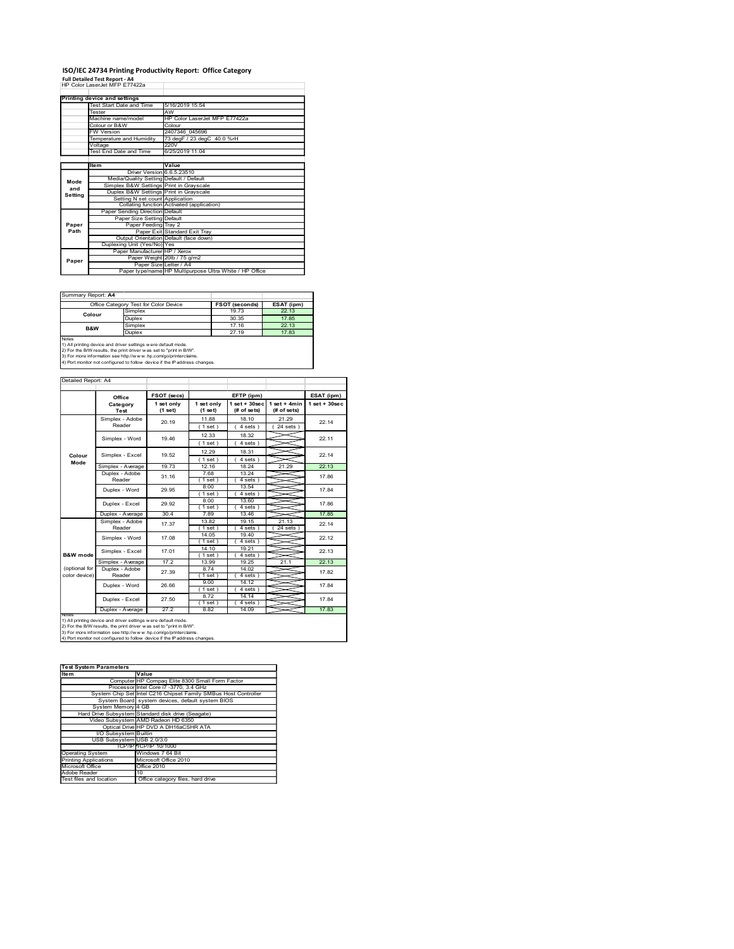## ISO/IEC 24734 Printing Productivity Report: Office Category Full Detailed Test Report - A4

| Tull Detailed Test Report - A+ |  |
|--------------------------------|--|
| HP Color LaserJet MFP E77422a  |  |

|                     | ISO/IEC 24734 Printing Productivity Report: Office Category                                                                                   |                                                                           |                                 |                                                         |                                |                                  |
|---------------------|-----------------------------------------------------------------------------------------------------------------------------------------------|---------------------------------------------------------------------------|---------------------------------|---------------------------------------------------------|--------------------------------|----------------------------------|
|                     | <b>Full Detailed Test Report - A4</b><br>HP Color LaserJet MFP E77422a                                                                        |                                                                           |                                 |                                                         |                                |                                  |
|                     | Printing device and settings<br>Test Start Date and Time                                                                                      | 5/16/2019 15:54                                                           |                                 |                                                         |                                |                                  |
|                     | Tester<br>Machine name/model                                                                                                                  | AW                                                                        | HP Color LaserJet MFP E77422a   |                                                         |                                |                                  |
|                     | Colour or B&W<br>FW Version                                                                                                                   | Colour                                                                    | 2407346_045696                  |                                                         |                                |                                  |
|                     | Temperature and Humidity                                                                                                                      | 220V                                                                      | 73 degF / 23 degC 40.0 %rH      |                                                         |                                |                                  |
|                     | Voltage<br>Test End Date and Time                                                                                                             | 6/25/2019 11:04                                                           |                                 |                                                         |                                |                                  |
|                     | Item                                                                                                                                          | Value<br>Driver Version 6.6.5.23510                                       |                                 |                                                         |                                |                                  |
| Mode<br>and         | Simplex B&W Settings Print in Grayscale                                                                                                       | Media/Quality Setting Default / Default                                   |                                 |                                                         |                                |                                  |
| Setting             |                                                                                                                                               | Duplex B&W Settings Print in Grayscale<br>Setting N set count Application |                                 |                                                         |                                |                                  |
|                     | Paper Sending Direction Default                                                                                                               | Collating function Activated (application)                                |                                 |                                                         |                                |                                  |
| Paper               |                                                                                                                                               | Paper Size Setting Default<br>Paper Feeding Tray 2                        |                                 |                                                         |                                |                                  |
| Path                |                                                                                                                                               | Paper Exit Standard Exit Tray                                             |                                 |                                                         |                                |                                  |
|                     | Output Orientation Default (face down)<br>Duplexing Unit (Yes/No) Yes<br>Paper Manufacturer   HP / Xerox                                      |                                                                           |                                 |                                                         |                                |                                  |
| Paper               |                                                                                                                                               | Paper Weight 20lb / 75 g/m2<br>Paper Size Letter / A4                     |                                 | Paper type/name HP Multipurpose Ultra White / HP Office |                                |                                  |
|                     |                                                                                                                                               |                                                                           |                                 |                                                         |                                |                                  |
| Summary Report: A4  |                                                                                                                                               |                                                                           |                                 |                                                         |                                |                                  |
|                     | Office Category Test for Color Device<br>Simplex                                                                                              |                                                                           |                                 | <b>FSOT (seconds)</b><br>19.73                          | ESAT (ipm)<br>22.13            |                                  |
|                     | Colour<br>Duplex<br>Simplex                                                                                                                   |                                                                           |                                 | 30.35<br>17.16                                          | 17.85<br>22.13                 |                                  |
| Notes               | <b>B&amp;W</b><br>Duplex                                                                                                                      |                                                                           |                                 | 27.19                                                   | 17.83                          |                                  |
|                     | 1) All printing device and driver settings w ere default mode.<br>2) For the B/W results, the print driver was set to "print in B/W".         |                                                                           |                                 |                                                         |                                |                                  |
|                     | 3) For more information see http://www.hp.com/go/printerclaims.<br>4) Port monitor not configured to follow device if the IP address changes. |                                                                           |                                 |                                                         |                                |                                  |
| Detailed Report: A4 |                                                                                                                                               |                                                                           |                                 |                                                         |                                |                                  |
|                     |                                                                                                                                               | FSOT (secs)                                                               |                                 | EFTP (ipm)                                              |                                |                                  |
|                     | Office<br>Category<br>Test                                                                                                                    | 1 set only<br>(1 <sub>set</sub> )                                         | 1 set only<br>$(1$ set)         | $1$ set + $30$ sec<br>(# of sets)                       | $1 set + 4 min$<br>(# of sets) | $1 set + 30 sec$                 |
|                     | Simplex - Adobe                                                                                                                               | 20.19                                                                     | 11.88                           | 18.10                                                   | 21.29                          |                                  |
|                     | Reader                                                                                                                                        |                                                                           | (1 set)<br>12.33                | (4 sets)<br>18.32                                       | (24 sets)                      |                                  |
|                     |                                                                                                                                               |                                                                           |                                 |                                                         |                                |                                  |
|                     | Simplex - Word                                                                                                                                | 19.46                                                                     | (1 set)                         | (4 sets)                                                |                                |                                  |
| Colour<br>Mode      | Simplex - Excel                                                                                                                               | 19.52                                                                     | 12.29<br>(1 set)                | 18.31<br>4 sets                                         |                                |                                  |
|                     | Simplex - Average<br>Duplex - Adobe                                                                                                           | 19.73                                                                     | 12.16<br>7.68                   | 18.24<br>13.24                                          | 21.29                          |                                  |
|                     | Reader<br>Duplex - Word                                                                                                                       | 31.16<br>29.95                                                            | (1 set)<br>8.00<br>$(1$ set $)$ | (4 sets)<br>13.54<br>$(4 \text{ sets})$                 |                                | 22.14<br>22.13<br>17.86<br>17.84 |

| Summary Report: A4 |                                                                     |                       |            |
|--------------------|---------------------------------------------------------------------|-----------------------|------------|
|                    | Office Category Test for Color Device                               | <b>FSOT (seconds)</b> | ESAT (ipm) |
| Colour             | Simplex                                                             | 19.73                 | 22.13      |
|                    | Duplex                                                              | 30 35                 | 17.85      |
| B&W                | Simplex                                                             | 17.16                 | 22.13      |
|                    | Duplex                                                              | 27 19                 | 17.83      |
| Notes              |                                                                     |                       |            |
|                    | 1) All printing device and driver settings w ere default mode.      |                       |            |
|                    | 2) For the B/W results, the print driver was set to "print in B/W". |                       |            |
|                    | 3) For more information see http://www.hp.com/go/printerclaims.     |                       |            |

|                                                                                                                                         | Tester<br>Machine name/model                                                                                                                  |                       | AW                                                                                 | HP Color LaserJet MFP E77422a                   |                                |                        |                  |
|-----------------------------------------------------------------------------------------------------------------------------------------|-----------------------------------------------------------------------------------------------------------------------------------------------|-----------------------|------------------------------------------------------------------------------------|-------------------------------------------------|--------------------------------|------------------------|------------------|
|                                                                                                                                         | Colour or B&W<br>W Version                                                                                                                    |                       | Colour<br>2407346_045696                                                           |                                                 |                                |                        |                  |
|                                                                                                                                         | <b>Temperature and Humidity</b>                                                                                                               |                       |                                                                                    | 73 degF / 23 degC 40.0 %rH                      |                                |                        |                  |
|                                                                                                                                         | Voltage<br><b>Test End Date and Time</b>                                                                                                      |                       | 220V<br>6/25/2019 11:04                                                            |                                                 |                                |                        |                  |
|                                                                                                                                         | Item                                                                                                                                          |                       | Value                                                                              |                                                 |                                |                        |                  |
|                                                                                                                                         |                                                                                                                                               |                       | Driver Version 6.6.5.23510                                                         |                                                 |                                |                        |                  |
| Mode                                                                                                                                    |                                                                                                                                               |                       | Media/Quality Setting Default / Default<br>Simplex B&W Settings Print in Grayscale |                                                 |                                |                        |                  |
| and<br>Setting                                                                                                                          |                                                                                                                                               |                       | Duplex B&W Settings Print in Grayscale<br>Setting N set count Application          |                                                 |                                |                        |                  |
|                                                                                                                                         |                                                                                                                                               |                       |                                                                                    | Collating function Activated (application)      |                                |                        |                  |
|                                                                                                                                         | Paper Sending Direction Default                                                                                                               |                       | Paper Size Setting Default                                                         |                                                 |                                |                        |                  |
| Paper<br>Path                                                                                                                           |                                                                                                                                               | Paper Feeding Tray 2  |                                                                                    |                                                 |                                |                        |                  |
| Paper Exit Standard Exit Tray<br>Output Orientation Default (face down)<br>Duplexing Unit (Yes/No) Yes<br>Paper Manufacturer HP / Xerox |                                                                                                                                               |                       |                                                                                    |                                                 |                                |                        |                  |
| Paper Weight 20lb / 75 g/m2<br>Paper                                                                                                    |                                                                                                                                               |                       |                                                                                    |                                                 |                                |                        |                  |
| Paper Size Letter / A4<br>Paper type/name HP Multipurpose Ultra White / HP Office                                                       |                                                                                                                                               |                       |                                                                                    |                                                 |                                |                        |                  |
|                                                                                                                                         |                                                                                                                                               |                       |                                                                                    |                                                 |                                |                        |                  |
|                                                                                                                                         |                                                                                                                                               |                       |                                                                                    |                                                 |                                |                        |                  |
| Summary Report: A4                                                                                                                      |                                                                                                                                               |                       |                                                                                    |                                                 |                                |                        |                  |
|                                                                                                                                         | Office Category Test for Color Device                                                                                                         |                       |                                                                                    |                                                 | <b>FSOT (seconds)</b>          | ESAT (ipm)             |                  |
| Colour                                                                                                                                  | Duplex                                                                                                                                        | Simplex               |                                                                                    |                                                 | 19.73<br>30.35                 | 22.13<br>17.85         |                  |
| B&W                                                                                                                                     |                                                                                                                                               | Simplex               |                                                                                    |                                                 | 17.16                          | 22.13                  |                  |
| Notes                                                                                                                                   | Duplex                                                                                                                                        |                       |                                                                                    |                                                 | 27.19                          | 17.83                  |                  |
|                                                                                                                                         | 1) All printing device and driver settings w ere default mode.<br>2) For the B/W results, the print driver was set to "print in B/W".         |                       |                                                                                    |                                                 |                                |                        |                  |
|                                                                                                                                         | 3) For more information see http://www.hp.com/go/printerclaims.                                                                               |                       |                                                                                    |                                                 |                                |                        |                  |
|                                                                                                                                         | 4) Port monitor not configured to follow device if the IP address changes.                                                                    |                       |                                                                                    |                                                 |                                |                        |                  |
| Detailed Report: A4                                                                                                                     |                                                                                                                                               |                       |                                                                                    |                                                 |                                |                        |                  |
|                                                                                                                                         |                                                                                                                                               |                       |                                                                                    |                                                 |                                |                        |                  |
|                                                                                                                                         | Office<br>Category                                                                                                                            |                       | FSOT (secs)<br>1 set only                                                          | 1 set only                                      | EFTP (ipm)<br>$1 set + 30 sec$ | $1 set + 4 min$        | $1 set + 30 sec$ |
|                                                                                                                                         | Test                                                                                                                                          |                       | (1 set)                                                                            | (1 set)                                         | (# of sets)                    | (# of sets)            |                  |
|                                                                                                                                         | Simplex - Adobe<br>Reader                                                                                                                     |                       | 20.19                                                                              | 11.88<br>(1 set)                                | 18.10<br>4 sets)               | 21.29<br>$24$ sets $)$ |                  |
|                                                                                                                                         |                                                                                                                                               |                       |                                                                                    | 12.33                                           | 18.32                          |                        |                  |
|                                                                                                                                         | Simplex - Word                                                                                                                                |                       | 19.46                                                                              | (1 set)                                         | 4 sets                         |                        |                  |
| Colour                                                                                                                                  | Simplex - Excel                                                                                                                               |                       | 19.52                                                                              | 12.29                                           | 18.31                          |                        |                  |
| Mode                                                                                                                                    | Simplex - Average                                                                                                                             |                       | 19.73                                                                              | (1 set)<br>12.16                                | 4 sets)<br>18.24               | 21.29                  |                  |
|                                                                                                                                         | Duplex - Adobe                                                                                                                                |                       | 31.16                                                                              | 7.68                                            | 13.24                          |                        |                  |
|                                                                                                                                         | Reader                                                                                                                                        |                       |                                                                                    | (1 set)                                         | (4 sets)                       |                        |                  |
|                                                                                                                                         | Duplex - Word                                                                                                                                 |                       | 29.95                                                                              | 8.00<br>(1 set)                                 | 13.54<br>(4 sets)              |                        |                  |
|                                                                                                                                         | Duplex - Excel                                                                                                                                |                       | 29.92                                                                              | 8.00<br>(1 set)                                 | 13.60<br>(4 sets)              |                        |                  |
|                                                                                                                                         | Duplex - Average                                                                                                                              |                       | 30.4                                                                               | 7.89                                            | 13.46                          |                        |                  |
|                                                                                                                                         | Simplex - Adobe<br>Reader                                                                                                                     |                       | 17.37                                                                              | 13.82<br>(1 set)                                | 19.15<br>4 sets)               | 21.13<br>$24$ sets)    |                  |
|                                                                                                                                         | Simplex - Word                                                                                                                                |                       | 17.08                                                                              | 14.05                                           | 19.40                          |                        |                  |
|                                                                                                                                         |                                                                                                                                               |                       |                                                                                    | (1 set)<br>14.10                                | 4 sets)<br>19.21               |                        |                  |
| <b>B&amp;W</b> mode                                                                                                                     | Simplex - Excel                                                                                                                               |                       | 17.01                                                                              | (1 set)                                         | (4 sets)                       |                        |                  |
| (optional for                                                                                                                           | Simplex - Average<br>Duplex - Adobe                                                                                                           |                       | 17.2                                                                               | 13.99<br>8.74                                   | 19.25<br>14.02                 | 21.1                   |                  |
| color device)                                                                                                                           | Reader                                                                                                                                        |                       | 27.39                                                                              | (1 set)                                         | (4 sets)                       |                        |                  |
|                                                                                                                                         | Duplex - Word                                                                                                                                 |                       | 26.66                                                                              | 9.00<br>(1 set)                                 | 14.12<br>(4 sets)              |                        |                  |
|                                                                                                                                         | Duplex - Excel                                                                                                                                |                       | 27.50                                                                              | 8.72                                            | 14.14                          |                        |                  |
|                                                                                                                                         | Duplex - Average                                                                                                                              |                       | 27.2                                                                               | (1 set)<br>8.82                                 | 4 sets)<br>14.09               |                        |                  |
| <b>NOTE</b>                                                                                                                             | 1) All printing device and driver settings were default mode.                                                                                 |                       |                                                                                    |                                                 |                                |                        |                  |
|                                                                                                                                         | 2) For the B/W results, the print driver was set to "print in B/W".                                                                           |                       |                                                                                    |                                                 |                                |                        |                  |
|                                                                                                                                         | 3) For more information see http://www.hp.com/go/printerclaims.<br>4) Port monitor not configured to follow device if the IP address changes. |                       |                                                                                    |                                                 |                                |                        |                  |
|                                                                                                                                         |                                                                                                                                               |                       |                                                                                    |                                                 |                                |                        |                  |
|                                                                                                                                         |                                                                                                                                               |                       |                                                                                    |                                                 |                                |                        |                  |
| <b>Item</b>                                                                                                                             | <b>Test System Parameters</b>                                                                                                                 |                       |                                                                                    |                                                 |                                |                        |                  |
|                                                                                                                                         |                                                                                                                                               | Value                 |                                                                                    | Computer HP Compaq Elite 8300 Small Form Factor |                                |                        |                  |
|                                                                                                                                         | System Chip Set Intel C216 Chipset Family SMBus Host Controller                                                                               |                       | Processor Intel Core i7 -3770, 3.4 GHz                                             |                                                 |                                |                        |                  |
|                                                                                                                                         | System Board system devices, default system BIOS                                                                                              |                       |                                                                                    |                                                 |                                |                        |                  |
|                                                                                                                                         | System Memory 4 GB                                                                                                                            |                       |                                                                                    |                                                 |                                |                        |                  |
|                                                                                                                                         | Hard Drive Subsystem Standard disk drive (Seagate)<br>Video Subsystem AMD Radeon HD 6350                                                      |                       |                                                                                    |                                                 |                                |                        |                  |
|                                                                                                                                         | Optical Drive HP DVD A DH16aCSHR ATA<br>I/O Subsystem Builtin                                                                                 |                       |                                                                                    |                                                 |                                |                        |                  |
|                                                                                                                                         | USB Subsystem USB 2.0/3.0                                                                                                                     |                       |                                                                                    |                                                 |                                |                        |                  |
| Operating System                                                                                                                        |                                                                                                                                               | TCP/IP TCP/IP 10/1000 | Vindows 7 64 Bit                                                                   |                                                 |                                |                        |                  |
| <b>Printing Applications</b>                                                                                                            |                                                                                                                                               |                       | Microsoft Office 2010                                                              |                                                 |                                |                        |                  |
| Microsoft Office<br>Adobe Reader                                                                                                        |                                                                                                                                               | Office 2010<br>10     |                                                                                    |                                                 |                                |                        |                  |
| Test files and location                                                                                                                 |                                                                                                                                               |                       | Office category files, hard drive                                                  |                                                 |                                |                        |                  |
|                                                                                                                                         |                                                                                                                                               |                       |                                                                                    |                                                 |                                |                        |                  |
|                                                                                                                                         |                                                                                                                                               |                       |                                                                                    |                                                 |                                |                        |                  |
|                                                                                                                                         |                                                                                                                                               |                       |                                                                                    |                                                 |                                |                        |                  |
|                                                                                                                                         |                                                                                                                                               |                       |                                                                                    |                                                 |                                |                        |                  |
|                                                                                                                                         |                                                                                                                                               |                       |                                                                                    |                                                 |                                |                        |                  |
|                                                                                                                                         |                                                                                                                                               |                       |                                                                                    |                                                 |                                |                        |                  |
|                                                                                                                                         |                                                                                                                                               |                       |                                                                                    |                                                 |                                |                        |                  |

| <b>Test System Parameters</b> |                                                                 |
|-------------------------------|-----------------------------------------------------------------|
| Ite <sub>m</sub>              | Value                                                           |
|                               | Computer HP Compaq Elite 8300 Small Form Factor                 |
|                               | Processor Intel Core i7 -3770, 3.4 GHz                          |
|                               | System Chip Set Intel C216 Chipset Family SMBus Host Controller |
|                               | System Board system devices, default system BIOS                |
| System Memory 4 GB            |                                                                 |
|                               | Hard Drive Subsystem Standard disk drive (Seagate)              |
|                               | Video Subsystem AMD Radeon HD 6350                              |
|                               | Optical Drive HP DVD A DH16aCSHR ATA                            |
| VO Subsystem Builtin          |                                                                 |
| USB Subsystem USB 2.0/3.0     |                                                                 |
|                               | TCP/IP TCP/IP 10/1000                                           |
| Operating System              | Windows 7 64 Bit                                                |
| Printing Applications         | Microsoft Office 2010                                           |
| Microsoft Office              | Office 2010                                                     |
| Adobe Reader                  | 10                                                              |
| Test files and location       | Office category files, hard drive                               |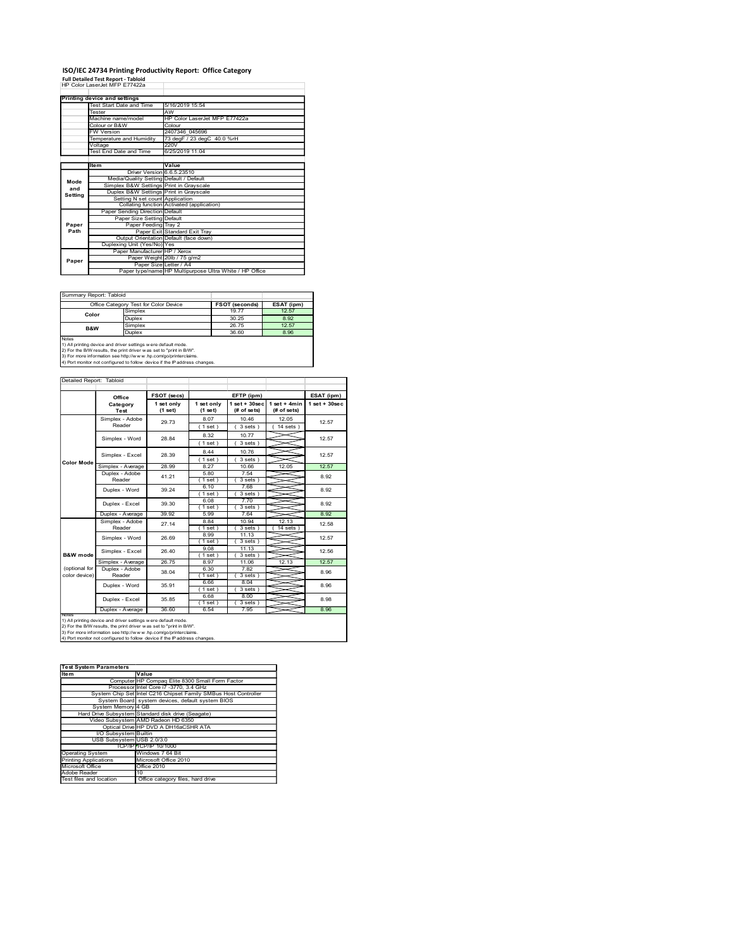## ISO/IEC 24734 Printing Productivity Report: Office Category Full Detailed Test Report - Tabloid

|                   | ISO/IEC 24734 Printing Productivity Report: Office Category                                                                            |                                                                           |                               |                                                         |                                |                                 |
|-------------------|----------------------------------------------------------------------------------------------------------------------------------------|---------------------------------------------------------------------------|-------------------------------|---------------------------------------------------------|--------------------------------|---------------------------------|
|                   | <b>Full Detailed Test Report - Tabloid</b><br>HP Color LaserJet MFP E77422a                                                            |                                                                           |                               |                                                         |                                |                                 |
|                   | <b>Printing device and settings</b>                                                                                                    |                                                                           |                               |                                                         |                                |                                 |
|                   | Test Start Date and Time<br>Tester                                                                                                     | 5/16/2019 15:54<br>AW                                                     |                               |                                                         |                                |                                 |
|                   | Machine name/model<br>Colour or B&W                                                                                                    | Colour                                                                    | HP Color LaserJet MFP E77422a |                                                         |                                |                                 |
|                   | <b>FW Version</b>                                                                                                                      | 2407346_045696                                                            |                               |                                                         |                                |                                 |
|                   | Temperature and Humidity<br>Voltage<br>Test End Date and Time                                                                          | 220V                                                                      | 73 degF / 23 degC 40.0 %rH    |                                                         |                                |                                 |
|                   |                                                                                                                                        | 6/25/2019 11:04                                                           |                               |                                                         |                                |                                 |
|                   | Item                                                                                                                                   | Value<br>Driver Version 6.6.5.23510                                       |                               |                                                         |                                |                                 |
| Mode<br>and       | Simplex B&W Settings Print in Grayscale                                                                                                | Media/Quality Setting Default / Default                                   |                               |                                                         |                                |                                 |
| Setting           |                                                                                                                                        | Duplex B&W Settings Print in Grayscale<br>Setting N set count Application |                               |                                                         |                                |                                 |
|                   | Paper Sending Direction Default                                                                                                        | Collating function Activated (application)                                |                               |                                                         |                                |                                 |
| Paper             |                                                                                                                                        | Paper Size Setting Default<br>Paper Feeding Tray 2                        |                               |                                                         |                                |                                 |
| Path              | Output Orientation Default (face down)<br>Duplexing Unit (Yes/No) Yes                                                                  | Paper Exit Standard Exit Tray                                             |                               |                                                         |                                |                                 |
|                   |                                                                                                                                        | Paper Manufacturer   HP / Xerox                                           |                               |                                                         |                                |                                 |
| Paper             |                                                                                                                                        | Paper Weight 20lb / 75 g/m2<br>Paper Size Letter / A4                     |                               |                                                         |                                |                                 |
|                   |                                                                                                                                        |                                                                           |                               | Paper type/name HP Multipurpose Ultra White / HP Office |                                |                                 |
|                   |                                                                                                                                        |                                                                           |                               |                                                         |                                |                                 |
|                   | Summary Report: Tabloid<br>Office Category Test for Color Device                                                                       |                                                                           |                               | <b>FSOT (seconds)</b>                                   | ESAT (ipm)                     |                                 |
|                   | Simplex<br>Color<br>Duplex                                                                                                             |                                                                           |                               | 19.77<br>30.25                                          | 12.57<br>8.92                  |                                 |
| <b>B&amp;W</b>    | Simplex<br>Duplex                                                                                                                      |                                                                           |                               | 26.75<br>36.60                                          | 12.57<br>8.96                  |                                 |
| Notes             | 1) All printing device and driver settings w ere default mode.                                                                         |                                                                           |                               |                                                         |                                |                                 |
|                   | 2) For the B/W results, the print driver was set to "print in B/W".<br>3) For more information see http://www.hp.com/go/printerclaims. |                                                                           |                               |                                                         |                                |                                 |
|                   | 4) Port monitor not configured to follow device if the IP address changes.                                                             |                                                                           |                               |                                                         |                                |                                 |
|                   | Detailed Report: Tabloid                                                                                                               |                                                                           |                               |                                                         |                                |                                 |
|                   |                                                                                                                                        | FSOT (secs)                                                               |                               | EFTP (ipm)                                              |                                | ESAT (ipm)                      |
|                   | Office<br>Category                                                                                                                     | 1 set only                                                                | 1 set only                    | $1$ set + $30$ sec                                      | $1 set + 4 min$<br>(# of sets) | $1 set + 30 sec$                |
|                   | Test                                                                                                                                   | (1 set)<br>29.73                                                          | (1 set)<br>8.07               | (# of sets)<br>10.46                                    | 12.05                          |                                 |
|                   | Simplex - Adobe                                                                                                                        |                                                                           |                               |                                                         |                                |                                 |
|                   | Reader                                                                                                                                 |                                                                           | (1 set)                       | (3 sets)                                                | (14 sets)                      |                                 |
|                   | Simplex - Word                                                                                                                         | 28.84                                                                     | 8.32<br>(1 set)               | 10.77<br>(3 sets)                                       |                                |                                 |
|                   | Simplex - Excel                                                                                                                        | 28.39                                                                     | 8.44                          | 10.76                                                   |                                |                                 |
| <b>Color Mode</b> | Simplex - Average                                                                                                                      | 28.99                                                                     | (1 set)<br>8.27               | (3 sets)<br>10.66                                       | 12.05                          |                                 |
|                   | Duplex - Adobe<br>Reader                                                                                                               | 41.21                                                                     | 5.80<br>(1 set)<br>6.10       | 7.54<br>(3 sets)<br>7.68                                |                                | 12.57<br>12.57<br>12.57<br>8.92 |

| Summary Report: Tabloid |                                                                     |                       |            |
|-------------------------|---------------------------------------------------------------------|-----------------------|------------|
|                         | Office Category Test for Color Device                               | <b>FSOT (seconds)</b> | ESAT (ipm) |
| Color                   | Simplex                                                             | 19.77                 | 12.57      |
|                         | <b>Duplex</b>                                                       | 30.25                 | 8.92       |
| B&W                     | Simplex                                                             | 26.75                 | 12.57      |
|                         | Duplex                                                              | 36.60                 | 8.96       |
| Notes                   | 1) All printing device and driver settings w ere default mode.      |                       |            |
|                         | 2) For the B/W results, the print driver was set to "print in B/W". |                       |            |

|                                                                                                    | סנטונו באוס מווט וווווי<br>Tester                                                                                                      | <b>AW</b>                                                                 | 101201010000                  |                       |                      |                  |  |  |
|----------------------------------------------------------------------------------------------------|----------------------------------------------------------------------------------------------------------------------------------------|---------------------------------------------------------------------------|-------------------------------|-----------------------|----------------------|------------------|--|--|
|                                                                                                    | Machine name/model<br>Colour or B&W                                                                                                    | Colour                                                                    | HP Color LaserJet MFP E77422a |                       |                      |                  |  |  |
|                                                                                                    | <b>FW Version</b>                                                                                                                      | 2407346_045696                                                            |                               |                       |                      |                  |  |  |
|                                                                                                    | Temperature and Humidity<br>Voltage                                                                                                    | <b>220V</b>                                                               | 73 degF / 23 degC 40.0 %rH    |                       |                      |                  |  |  |
|                                                                                                    | Test End Date and Time                                                                                                                 | 6/25/2019 11:04                                                           |                               |                       |                      |                  |  |  |
|                                                                                                    | ltem                                                                                                                                   | Value                                                                     |                               |                       |                      |                  |  |  |
|                                                                                                    |                                                                                                                                        | Driver Version 6.6.5.23510<br>Media/Quality Setting Default / Default     |                               |                       |                      |                  |  |  |
| Mode<br>and                                                                                        | Simplex B&W Settings Print in Grayscale                                                                                                |                                                                           |                               |                       |                      |                  |  |  |
| Setting                                                                                            |                                                                                                                                        | Duplex B&W Settings Print in Grayscale<br>Setting N set count Application |                               |                       |                      |                  |  |  |
|                                                                                                    | Paper Sending Direction Default                                                                                                        | Collating function Activated (application)                                |                               |                       |                      |                  |  |  |
|                                                                                                    |                                                                                                                                        | Paper Size Setting Default                                                |                               |                       |                      |                  |  |  |
| Paper<br>Path                                                                                      |                                                                                                                                        | Paper Feeding Tray 2<br>Paper Exit Standard Exit Tray                     |                               |                       |                      |                  |  |  |
|                                                                                                    | Output Orientation Default (face down)<br>Duplexing Unit (Yes/No) Yes<br>Paper Manufacturer HP / Xerox                                 |                                                                           |                               |                       |                      |                  |  |  |
| Paper Weight 20lb / 75 g/m2<br>Paper                                                               |                                                                                                                                        |                                                                           |                               |                       |                      |                  |  |  |
|                                                                                                    | Paper Size Letter / A4<br>Paper type/name HP Multipurpose Ultra White / HP Office                                                      |                                                                           |                               |                       |                      |                  |  |  |
|                                                                                                    |                                                                                                                                        |                                                                           |                               |                       |                      |                  |  |  |
|                                                                                                    |                                                                                                                                        |                                                                           |                               |                       |                      |                  |  |  |
|                                                                                                    | Summary Report: Tabloid                                                                                                                |                                                                           |                               |                       |                      |                  |  |  |
|                                                                                                    | Office Category Test for Color Device                                                                                                  |                                                                           |                               | <b>FSOT (seconds)</b> | ESAT (ipm)           |                  |  |  |
| Color                                                                                              | Simplex                                                                                                                                |                                                                           |                               | 19.77                 | 12.57                |                  |  |  |
|                                                                                                    | Duplex<br>Simplex                                                                                                                      |                                                                           |                               | 30.25<br>26.75        | 8.92<br>12.57        |                  |  |  |
| B&W                                                                                                | Duplex                                                                                                                                 |                                                                           |                               | 36.60                 | 8.96                 |                  |  |  |
| Notes                                                                                              | 1) All printing device and driver settings w ere default mode.                                                                         |                                                                           |                               |                       |                      |                  |  |  |
|                                                                                                    | 2) For the B/W results, the print driver was set to "print in B/W".<br>3) For more information see http://www.hp.com/go/printerclaims. |                                                                           |                               |                       |                      |                  |  |  |
|                                                                                                    | 4) Port monitor not configured to follow device if the IP address changes.                                                             |                                                                           |                               |                       |                      |                  |  |  |
|                                                                                                    |                                                                                                                                        |                                                                           |                               |                       |                      |                  |  |  |
|                                                                                                    | Detailed Report: Tabloid                                                                                                               |                                                                           |                               |                       |                      |                  |  |  |
|                                                                                                    | Office                                                                                                                                 | FSOT (secs)                                                               |                               | EFTP (ipm)            |                      |                  |  |  |
|                                                                                                    | Category                                                                                                                               | 1 set only                                                                | 1 set only                    | $1 set + 30 sec$      | $1 set + 4 min$      | $1 set + 30 sec$ |  |  |
|                                                                                                    | Test<br>Simplex - Adobe                                                                                                                | (1 set)                                                                   | (1 set)<br>8.07               | (# of sets)<br>10.46  | (# of sets)<br>12.05 |                  |  |  |
|                                                                                                    | Reader                                                                                                                                 | 29.73                                                                     | (1 set)                       | 3 sets)               | 14 sets )            |                  |  |  |
|                                                                                                    | Simplex - Word                                                                                                                         | 28.84                                                                     | 8.32                          | 10.77                 |                      |                  |  |  |
|                                                                                                    |                                                                                                                                        |                                                                           | (1 set)                       | 3 sets                |                      |                  |  |  |
|                                                                                                    | Simplex - Excel                                                                                                                        | 28.39                                                                     | 8.44<br>(1 set)               | 10.76<br>3 sets)      |                      |                  |  |  |
| Color Mode                                                                                         | Simplex - Average                                                                                                                      | 28.99                                                                     | 8.27                          | 10.66                 | 12.05                |                  |  |  |
|                                                                                                    | Duplex - Adobe                                                                                                                         | 41.21                                                                     | 5.80                          | 7.54                  |                      |                  |  |  |
|                                                                                                    | Reader                                                                                                                                 |                                                                           | (1 set)<br>6.10               | 3 sets)<br>7.68       |                      |                  |  |  |
|                                                                                                    | Duplex - Word                                                                                                                          | 39.24                                                                     | (1 set)                       | 3 sets)               |                      |                  |  |  |
|                                                                                                    | Duplex - Excel                                                                                                                         | 39.30                                                                     | 6.08<br>(1 set)               | 7.70<br>(3 sets)      |                      |                  |  |  |
|                                                                                                    | Duplex - Average                                                                                                                       | 39.92                                                                     | 5.99                          | 7.64                  |                      |                  |  |  |
|                                                                                                    | Simplex - Adobe<br>Reader                                                                                                              | 27.14                                                                     | 8.84<br>(1 set)               | 10.94<br>(3 sets)     | 12.13<br>(14 sets)   |                  |  |  |
|                                                                                                    | Simplex - Word                                                                                                                         | 26.69                                                                     | 8.99                          | 11.13                 |                      |                  |  |  |
|                                                                                                    |                                                                                                                                        |                                                                           | (1 set)<br>9.08               | (3 sets)<br>11.13     |                      |                  |  |  |
| <b>B&amp;W</b> mode                                                                                | Simplex - Excel                                                                                                                        | 26.40                                                                     | (1 set)                       | 3 sets                |                      |                  |  |  |
|                                                                                                    | Simplex - Average                                                                                                                      | 26.75                                                                     | 8.97                          | 11.06                 | 12.13                |                  |  |  |
| (optional for<br>color device)                                                                     | Duplex - Adobe<br>Reader                                                                                                               | 38.04                                                                     | 6.30<br>(1 set)               | 7.82<br>3 sets)       |                      |                  |  |  |
|                                                                                                    | Duplex - Word                                                                                                                          | 35.91                                                                     | 6.66                          | 8.04                  |                      |                  |  |  |
|                                                                                                    |                                                                                                                                        |                                                                           | (1 set)<br>6.68               | 3 sets)<br>8.00       |                      |                  |  |  |
|                                                                                                    | Duplex - Excel                                                                                                                         | 35.85                                                                     | (1 set)                       | (3 sets)              |                      |                  |  |  |
| invote                                                                                             | Duplex - Average                                                                                                                       | 36.60                                                                     | 6.54                          | 7.95                  |                      |                  |  |  |
|                                                                                                    | 1) All printing device and driver settings w ere default mode.<br>2) For the B/W results, the print driver was set to "print in B/W".  |                                                                           |                               |                       |                      |                  |  |  |
|                                                                                                    | 3) For more information see http://www.hp.com/go/printerclaims.                                                                        |                                                                           |                               |                       |                      |                  |  |  |
|                                                                                                    | 4) Port monitor not configured to follow device if the Paddress changes                                                                |                                                                           |                               |                       |                      |                  |  |  |
|                                                                                                    |                                                                                                                                        |                                                                           |                               |                       |                      |                  |  |  |
|                                                                                                    |                                                                                                                                        |                                                                           |                               |                       |                      |                  |  |  |
| <b>Item</b>                                                                                        | <b>Test System Parameters</b><br>Value                                                                                                 |                                                                           |                               |                       |                      |                  |  |  |
|                                                                                                    |                                                                                                                                        | Computer HP Compaq Elite 8300 Small Form Factor                           |                               |                       |                      |                  |  |  |
|                                                                                                    | System Chip Set Intel C216 Chipset Family SMBus Host Controller                                                                        | Processor Intel Core i7 -3770, 3.4 GHz                                    |                               |                       |                      |                  |  |  |
|                                                                                                    | System Board system devices, default system BIOS                                                                                       |                                                                           |                               |                       |                      |                  |  |  |
|                                                                                                    | System Memory 4 GB<br>Hard Drive Subsystem Standard disk drive (Seagate)                                                               |                                                                           |                               |                       |                      |                  |  |  |
|                                                                                                    | Video Subsystem AMD Radeon HD 6350                                                                                                     |                                                                           |                               |                       |                      |                  |  |  |
|                                                                                                    |                                                                                                                                        | Optical Drive HP DVD A DH16aCSHR ATA                                      |                               |                       |                      |                  |  |  |
|                                                                                                    |                                                                                                                                        |                                                                           |                               |                       |                      |                  |  |  |
|                                                                                                    | I/O Subsystem Builtin<br>USB Subsystem USB 2.0/3.0                                                                                     |                                                                           |                               |                       |                      |                  |  |  |
|                                                                                                    |                                                                                                                                        | TCP/IP TCP/IP 10/1000                                                     |                               |                       |                      |                  |  |  |
|                                                                                                    |                                                                                                                                        | Windows 7 64 Bit<br>Microsoft Office 2010                                 |                               |                       |                      |                  |  |  |
|                                                                                                    |                                                                                                                                        | Office 2010                                                               |                               |                       |                      |                  |  |  |
|                                                                                                    | 10                                                                                                                                     | Office category files, hard drive                                         |                               |                       |                      |                  |  |  |
|                                                                                                    |                                                                                                                                        |                                                                           |                               |                       |                      |                  |  |  |
|                                                                                                    |                                                                                                                                        |                                                                           |                               |                       |                      |                  |  |  |
|                                                                                                    |                                                                                                                                        |                                                                           |                               |                       |                      |                  |  |  |
|                                                                                                    |                                                                                                                                        |                                                                           |                               |                       |                      |                  |  |  |
| <b>Operating System</b><br><b>Printing Applications</b><br>Adobe Reader<br>Test files and location |                                                                                                                                        |                                                                           |                               |                       |                      |                  |  |  |
| Microsoft Office                                                                                   |                                                                                                                                        |                                                                           |                               |                       |                      |                  |  |  |

| <b>Test System Parameters</b> |                                                                 |  |  |  |  |  |
|-------------------------------|-----------------------------------------------------------------|--|--|--|--|--|
| Item                          | Value                                                           |  |  |  |  |  |
|                               | Computer HP Compaq Elite 8300 Small Form Factor                 |  |  |  |  |  |
|                               | Processor Intel Core i7 -3770, 3.4 GHz                          |  |  |  |  |  |
|                               | System Chip Set Intel C216 Chipset Family SMBus Host Controller |  |  |  |  |  |
|                               | System Board system devices, default system BIOS                |  |  |  |  |  |
| System Memory 4 GB            |                                                                 |  |  |  |  |  |
|                               | Hard Drive Subsystem Standard disk drive (Seagate)              |  |  |  |  |  |
|                               | Video Subsystem AMD Radeon HD 6350                              |  |  |  |  |  |
|                               | Optical Drive HP DVD A DH16aCSHR ATA                            |  |  |  |  |  |
| VO Subsystem Builtin          |                                                                 |  |  |  |  |  |
| USB Subsystem USB 2.0/3.0     |                                                                 |  |  |  |  |  |
|                               | TCP/IP TCP/IP 10/1000                                           |  |  |  |  |  |
| <b>Operating System</b>       | Windows 7 64 Bit                                                |  |  |  |  |  |
| <b>Printing Applications</b>  | Microsoft Office 2010                                           |  |  |  |  |  |
| Microsoft Office              | Office 2010                                                     |  |  |  |  |  |
| Adobe Reader                  | 10                                                              |  |  |  |  |  |
| Test files and location       | Office category files, hard drive                               |  |  |  |  |  |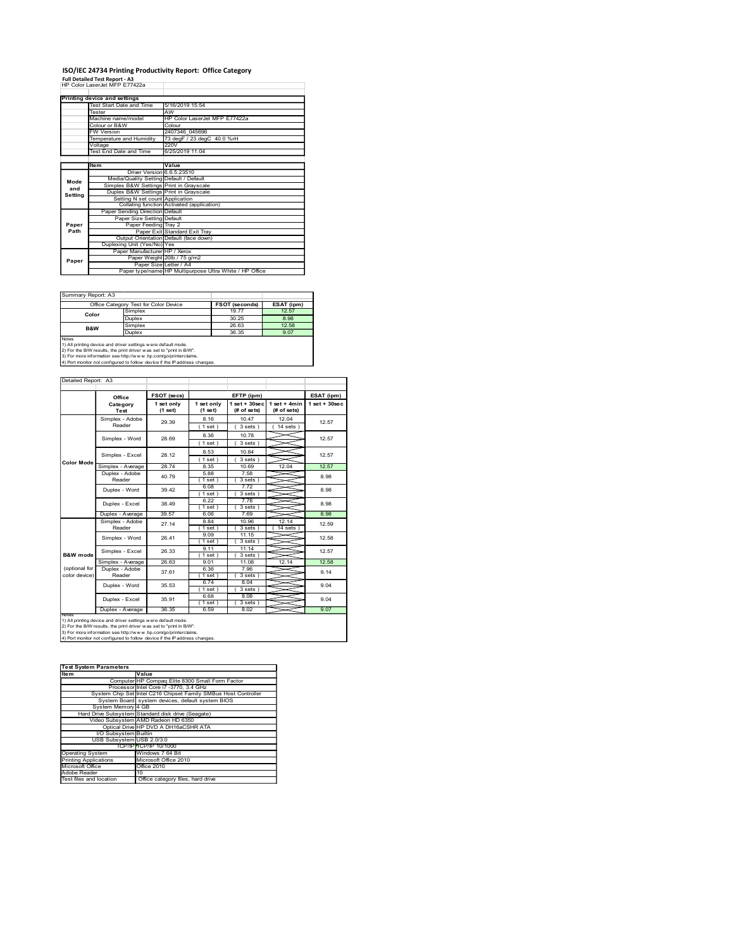## ISO/IEC 24734 Printing Productivity Report: Office Category Full Detailed Test Report - A3

| HP Color LaserJet MFP E77422a |
|-------------------------------|
|                               |

|                     | ISO/IEC 24734 Printing Productivity Report: Office Category<br><b>Full Detailed Test Report - A3</b>                                   |                                                                                   |                               |                                                         |                                |                  |
|---------------------|----------------------------------------------------------------------------------------------------------------------------------------|-----------------------------------------------------------------------------------|-------------------------------|---------------------------------------------------------|--------------------------------|------------------|
|                     | HP Color LaserJet MFP E77422a                                                                                                          |                                                                                   |                               |                                                         |                                |                  |
|                     | Printing device and settings<br>Test Start Date and Time                                                                               | 5/16/2019 15:54                                                                   |                               |                                                         |                                |                  |
|                     | Tester<br>Machine name/model                                                                                                           | AW                                                                                | HP Color LaserJet MFP E77422a |                                                         |                                |                  |
|                     | Colour or B&W<br>FW Version                                                                                                            | Colour<br>2407346_045696                                                          |                               |                                                         |                                |                  |
|                     | Temperature and Humidity<br>Voltage<br>Test End Date and Time                                                                          | 220V                                                                              | 73 degF / 23 degC 40.0 %rH    |                                                         |                                |                  |
|                     |                                                                                                                                        | 6/25/2019 11:04                                                                   |                               |                                                         |                                |                  |
|                     | Item                                                                                                                                   | Value<br>Driver Version 6.6.5.23510                                               |                               |                                                         |                                |                  |
| Mode<br>and         | Simplex B&W Settings Print in Grayscale                                                                                                | Media/Quality Setting Default / Default<br>Duplex B&W Settings Print in Grayscale |                               |                                                         |                                |                  |
| Setting             |                                                                                                                                        | Setting N set count Application<br>Collating function Activated (application)     |                               |                                                         |                                |                  |
|                     | Paper Sending Direction Default                                                                                                        | Paper Size Setting Default                                                        |                               |                                                         |                                |                  |
| Paper<br>Path       |                                                                                                                                        | Paper Feeding Tray 2<br>Paper Exit Standard Exit Tray                             |                               |                                                         |                                |                  |
|                     | Output Orientation Default (face down)<br>Duplexing Unit (Yes/No) Yes                                                                  |                                                                                   |                               |                                                         |                                |                  |
| Paper               |                                                                                                                                        | Paper Manufacturer   HP / Xerox<br>Paper Weight 20lb / 75 g/m2                    |                               |                                                         |                                |                  |
|                     |                                                                                                                                        | Paper Size Letter / A4                                                            |                               | Paper type/name HP Multipurpose Ultra White / HP Office |                                |                  |
|                     |                                                                                                                                        |                                                                                   |                               |                                                         |                                |                  |
| Summary Report: A3  | Office Category Test for Color Device                                                                                                  |                                                                                   |                               | <b>FSOT (seconds)</b>                                   | ESAT (ipm)                     |                  |
| Color               | Simplex<br>Duplex                                                                                                                      |                                                                                   |                               | 19.77<br>30.25                                          | 12.57<br>8.98                  |                  |
| <b>B&amp;W</b>      | Simplex<br>Duplex                                                                                                                      |                                                                                   |                               | 26.63<br>36.35                                          | 12.58<br>9.07                  |                  |
| Notes               | 1) All printing device and driver settings w ere default mode.                                                                         |                                                                                   |                               |                                                         |                                |                  |
|                     | 2) For the B/W results, the print driver was set to "print in B/W".<br>3) For more information see http://www.hp.com/go/printerclaims. |                                                                                   |                               |                                                         |                                |                  |
|                     | 4) Port monitor not configured to follow device if the IP address changes.                                                             |                                                                                   |                               |                                                         |                                |                  |
| Detailed Report: A3 |                                                                                                                                        |                                                                                   |                               |                                                         |                                |                  |
|                     | Office                                                                                                                                 | FSOT (secs)                                                                       |                               | EFTP (ipm)                                              |                                |                  |
|                     | Category<br>Test                                                                                                                       | 1 set only<br>(1 <sub>set</sub> )                                                 | 1 set only<br>(1 set)         | 1 set + 30sec<br>(# of sets)                            | $1 set + 4 min$<br>(# of sets) | $1 set + 30 sec$ |
|                     | Simplex - Adobe<br>Reader                                                                                                              | 29.39                                                                             | 8.16<br>(1 set)               | 10.47<br>(3 sets)                                       | 12.04<br>(14 sets)             |                  |
|                     | Simplex - Word                                                                                                                         | 28.69                                                                             | 8.36<br>(1 set)               | 10.78<br>(3 sets)                                       |                                |                  |
|                     | Simplex - Excel                                                                                                                        | 28.12                                                                             | 8.53                          | 10.84                                                   |                                |                  |
| <b>Color Mode</b>   | Simplex - Average                                                                                                                      | 28.74                                                                             | (1 set)<br>8.35               | 3 sets<br>10.69                                         | 12.04                          |                  |
|                     | Duplex - Adobe<br>Reader                                                                                                               | 40.79                                                                             | 5.88<br>(1 set )              | 7.58<br>(3 sets)                                        |                                |                  |
|                     |                                                                                                                                        |                                                                                   | 6.08                          | 7.72                                                    |                                |                  |

| Summary Report: A3                                                                                                                                                                                               |                                       |                       |            |  |  |  |
|------------------------------------------------------------------------------------------------------------------------------------------------------------------------------------------------------------------|---------------------------------------|-----------------------|------------|--|--|--|
|                                                                                                                                                                                                                  | Office Category Test for Color Device | <b>FSOT (seconds)</b> | ESAT (ipm) |  |  |  |
| Color                                                                                                                                                                                                            | Simplex                               | 19.77                 | 12.57      |  |  |  |
|                                                                                                                                                                                                                  | Duplex                                | 30 25                 | 8.98       |  |  |  |
| B&W                                                                                                                                                                                                              | Simplex                               | 26.63                 | 12.58      |  |  |  |
|                                                                                                                                                                                                                  | Duplex                                | 36.35                 | 9.07       |  |  |  |
| Notes<br>1) All printing device and driver settings w ere default mode.<br>2) For the B/W results, the print driver was set to "print in B/W".<br>3) For more information can http://www.bp.com/go/printorolaime |                                       |                       |            |  |  |  |

|                                                         | אוווו שמוע שמוש מוועד ו<br>Tester                                                                                                             | AW                                                             | 101201310.07          |                                                         |                                |                  |
|---------------------------------------------------------|-----------------------------------------------------------------------------------------------------------------------------------------------|----------------------------------------------------------------|-----------------------|---------------------------------------------------------|--------------------------------|------------------|
|                                                         | Machine name/model<br>HP Color LaserJet MFP E77422a<br>Colour or B&W<br>Colour                                                                |                                                                |                       |                                                         |                                |                  |
|                                                         | <b>FW Version</b><br>2407346_045696                                                                                                           |                                                                |                       |                                                         |                                |                  |
|                                                         | Temperature and Humidity<br>73 degF / 23 degC 40.0 %rH<br>Voltage<br><b>220V</b>                                                              |                                                                |                       |                                                         |                                |                  |
|                                                         | Test End Date and Time                                                                                                                        |                                                                | 6/25/2019 11:04       |                                                         |                                |                  |
|                                                         | ltem                                                                                                                                          | Value                                                          |                       |                                                         |                                |                  |
|                                                         |                                                                                                                                               | Driver Version 6.6.5.23510                                     |                       |                                                         |                                |                  |
| Mode                                                    | Media/Quality Setting Default / Default<br>Simplex B&W Settings Print in Grayscale                                                            |                                                                |                       |                                                         |                                |                  |
| and                                                     | Duplex B&W Settings Print in Grayscale                                                                                                        |                                                                |                       |                                                         |                                |                  |
| Setting                                                 |                                                                                                                                               | Setting N set count Application                                |                       |                                                         |                                |                  |
|                                                         | Paper Sending Direction Default                                                                                                               | Collating function Activated (application)                     |                       |                                                         |                                |                  |
|                                                         |                                                                                                                                               | Paper Size Setting Default                                     |                       |                                                         |                                |                  |
| Paper<br>Path                                           |                                                                                                                                               | Paper Feeding Tray 2<br>Paper Exit Standard Exit Tray          |                       |                                                         |                                |                  |
|                                                         |                                                                                                                                               | Output Orientation Default (face down)                         |                       |                                                         |                                |                  |
|                                                         | Duplexing Unit (Yes/No) Yes                                                                                                                   |                                                                |                       |                                                         |                                |                  |
|                                                         |                                                                                                                                               | Paper Manufacturer   HP / Xerox<br>Paper Weight 20lb / 75 g/m2 |                       |                                                         |                                |                  |
| Paper                                                   |                                                                                                                                               | Paper Size Letter / A4                                         |                       |                                                         |                                |                  |
|                                                         |                                                                                                                                               |                                                                |                       | Paper type/name HP Multipurpose Ultra White / HP Office |                                |                  |
|                                                         |                                                                                                                                               |                                                                |                       |                                                         |                                |                  |
| Summary Report: A3                                      |                                                                                                                                               |                                                                |                       |                                                         |                                |                  |
|                                                         | Office Category Test for Color Device                                                                                                         |                                                                |                       | <b>FSOT (seconds)</b>                                   | ESAT (ipm)                     |                  |
| Color                                                   | Simplex                                                                                                                                       |                                                                |                       | 19.77                                                   | 12.57                          |                  |
|                                                         | Duplex<br>Simplex                                                                                                                             |                                                                |                       | 30.25<br>26.63                                          | 8.98<br>12.58                  |                  |
| B&W                                                     | Duplex                                                                                                                                        |                                                                |                       | 36.35                                                   | 9.07                           |                  |
| Notes                                                   | 1) All printing device and driver settings w ere default mode.                                                                                |                                                                |                       |                                                         |                                |                  |
|                                                         | 2) For the B/W results, the print driver was set to "print in B/W".                                                                           |                                                                |                       |                                                         |                                |                  |
|                                                         | 3) For more information see http://www.hp.com/go/printerclaims.<br>4) Port monitor not configured to follow device if the IP address changes. |                                                                |                       |                                                         |                                |                  |
|                                                         |                                                                                                                                               |                                                                |                       |                                                         |                                |                  |
| Detailed Report: A3                                     |                                                                                                                                               |                                                                |                       |                                                         |                                |                  |
|                                                         |                                                                                                                                               |                                                                |                       |                                                         |                                |                  |
|                                                         | Office                                                                                                                                        | FSOT (secs)                                                    |                       | EFTP (ipm)                                              |                                |                  |
|                                                         | Category                                                                                                                                      | 1 set only<br>(1 set)                                          | 1 set only<br>(1 set) | $1$ set + $30$ sec<br>(# of sets)                       | $1 set + 4 min$<br>(# of sets) | $1 set + 30 sec$ |
|                                                         | Test<br>Simplex - Adobe                                                                                                                       |                                                                | 8.16                  | 10.47                                                   | 12.04                          |                  |
|                                                         | Reader                                                                                                                                        | 29.39                                                          | (1 set)               | 3 sets)                                                 | $14$ sets)                     |                  |
|                                                         | Simplex - Word                                                                                                                                | 28.69                                                          | 8.36                  | 10.78                                                   |                                |                  |
|                                                         |                                                                                                                                               |                                                                | (1 set)               | 3 sets                                                  |                                |                  |
|                                                         | Simplex - Excel                                                                                                                               | 28.12                                                          | 8.53                  | 10.84                                                   |                                |                  |
| Color Mode                                              |                                                                                                                                               |                                                                | (1 set)               | 3 sets)                                                 |                                |                  |
|                                                         | Simplex - Average                                                                                                                             | 28.74                                                          | 8.35<br>5.88          | 10.69<br>7.58                                           | 12.04                          |                  |
|                                                         | Duplex - Adobe<br>Reader                                                                                                                      | 40.79                                                          | (1 set)               | 3 sets)                                                 |                                |                  |
|                                                         | Duplex - Word                                                                                                                                 | 39.42                                                          | 6.08                  | 7.72                                                    |                                |                  |
|                                                         |                                                                                                                                               |                                                                | (1 set)               | 3 sets)                                                 |                                |                  |
|                                                         | Duplex - Excel                                                                                                                                | 38.49                                                          | 6.22<br>(1 set)       | 7.78<br>(3 sets)                                        |                                |                  |
|                                                         | Duplex - Average                                                                                                                              | 39.57                                                          | 6.06                  | 7.69                                                    |                                |                  |
|                                                         | Simplex - Adobe                                                                                                                               | 27.14                                                          | 8.84                  | 10.96                                                   | 12.14                          |                  |
|                                                         | Reader                                                                                                                                        |                                                                | (1 set)<br>9.09       | (3 sets)<br>11.15                                       | (14 sets)                      |                  |
|                                                         | Simplex - Word                                                                                                                                | 26.41                                                          | (1 set)               | (3 sets)                                                |                                |                  |
|                                                         | Simplex - Excel                                                                                                                               | 26.33                                                          | 9.11                  | 11.14                                                   |                                |                  |
| <b>B&amp;W</b> mode                                     |                                                                                                                                               |                                                                | (1 set)               | (3 sets)                                                |                                |                  |
| (optional for                                           | Simplex - Average<br>Duplex - Adobe                                                                                                           | 26.63                                                          | 9.01<br>6.36          | 11.08<br>7.96                                           | 12.14                          |                  |
| color device)                                           | Reader                                                                                                                                        | 37.61                                                          | (1 set)               | (3 sets)                                                |                                |                  |
|                                                         | Duplex - Word                                                                                                                                 | 35.53                                                          | 6.74                  | 8.04                                                    |                                |                  |
|                                                         |                                                                                                                                               |                                                                | (1 set)<br>6.68       | 3 sets)<br>8.08                                         |                                |                  |
|                                                         | Duplex - Excel                                                                                                                                | 35.91                                                          | (1 set)               | (3 sets)                                                |                                |                  |
| <b>TVOte</b>                                            | Duplex - Average                                                                                                                              | 36.35                                                          | 6.59                  | 8.02                                                    |                                |                  |
|                                                         | 1) All printing device and driver settings w ere default mode.                                                                                |                                                                |                       |                                                         |                                |                  |
|                                                         | 2) For the B/W results, the print driver was set to "print in B/W".<br>3) For more information see http://www.hp.com/go/printerclaims.        |                                                                |                       |                                                         |                                |                  |
|                                                         | 4) Port monitor not configured to follow device if the Paddress changes.                                                                      |                                                                |                       |                                                         |                                |                  |
|                                                         |                                                                                                                                               |                                                                |                       |                                                         |                                |                  |
|                                                         |                                                                                                                                               |                                                                |                       |                                                         |                                |                  |
|                                                         | <b>Test System Parameters</b>                                                                                                                 |                                                                |                       |                                                         |                                |                  |
| Item                                                    | Value                                                                                                                                         |                                                                |                       |                                                         |                                |                  |
|                                                         | Computer HP Compaq Elite 8300 Small Form Factor                                                                                               |                                                                |                       |                                                         |                                |                  |
|                                                         | Processor Intel Core i7 -3770, 3.4 GHz                                                                                                        |                                                                |                       |                                                         |                                |                  |
|                                                         | System Chip Set Intel C216 Chipset Family SMBus Host Controller<br>System Board system devices, default system BIOS                           |                                                                |                       |                                                         |                                |                  |
|                                                         | System Memory 4 GB                                                                                                                            |                                                                |                       |                                                         |                                |                  |
|                                                         | Hard Drive Subsystem Standard disk drive (Seagate)                                                                                            |                                                                |                       |                                                         |                                |                  |
|                                                         | Video Subsystem AMD Radeon HD 6350<br>Optical Drive HP DVD A DH16aCSHR ATA                                                                    |                                                                |                       |                                                         |                                |                  |
|                                                         | I/O Subsystem Builtin                                                                                                                         |                                                                |                       |                                                         |                                |                  |
|                                                         | USB Subsystem USB 2.0/3.0                                                                                                                     |                                                                |                       |                                                         |                                |                  |
|                                                         |                                                                                                                                               | TCP/IP TCP/IP 10/1000<br>Windows 7 64 Bit                      |                       |                                                         |                                |                  |
| <b>Operating System</b><br><b>Printing Applications</b> |                                                                                                                                               | Microsoft Office 2010                                          |                       |                                                         |                                |                  |
| Microsoft Office                                        |                                                                                                                                               | Office 2010                                                    |                       |                                                         |                                |                  |
| Adobe Reader                                            | 10                                                                                                                                            |                                                                |                       |                                                         |                                |                  |
| Test files and location                                 |                                                                                                                                               | Office category files, hard drive                              |                       |                                                         |                                |                  |
|                                                         |                                                                                                                                               |                                                                |                       |                                                         |                                |                  |
|                                                         |                                                                                                                                               |                                                                |                       |                                                         |                                |                  |
|                                                         |                                                                                                                                               |                                                                |                       |                                                         |                                |                  |
|                                                         |                                                                                                                                               |                                                                |                       |                                                         |                                |                  |
|                                                         |                                                                                                                                               |                                                                |                       |                                                         |                                |                  |
|                                                         |                                                                                                                                               |                                                                |                       |                                                         |                                |                  |
|                                                         |                                                                                                                                               |                                                                |                       |                                                         |                                |                  |
|                                                         |                                                                                                                                               |                                                                |                       |                                                         |                                |                  |

| <b>Test System Parameters</b> |                                                                 |  |  |  |  |  |
|-------------------------------|-----------------------------------------------------------------|--|--|--|--|--|
| Ite <sub>m</sub>              | Value                                                           |  |  |  |  |  |
|                               | Computer HP Compaq Elite 8300 Small Form Factor                 |  |  |  |  |  |
|                               | Processor Intel Core i7 -3770, 3.4 GHz                          |  |  |  |  |  |
|                               | System Chip Set Intel C216 Chipset Family SMBus Host Controller |  |  |  |  |  |
|                               | System Board system devices, default system BIOS                |  |  |  |  |  |
| System Memory 4 GB            |                                                                 |  |  |  |  |  |
|                               | Hard Drive Subsystem Standard disk drive (Seagate)              |  |  |  |  |  |
|                               | Video Subsystem AMD Radeon HD 6350                              |  |  |  |  |  |
|                               | Optical Drive HP DVD A DH16aCSHR ATA                            |  |  |  |  |  |
| VO Subsystem Builtin          |                                                                 |  |  |  |  |  |
| USB Subsystem USB 2.0/3.0     |                                                                 |  |  |  |  |  |
|                               | TCP/IP TCP/IP 10/1000                                           |  |  |  |  |  |
| <b>Operating System</b>       | Windows 7 64 Bit                                                |  |  |  |  |  |
| <b>Printing Applications</b>  | Microsoft Office 2010                                           |  |  |  |  |  |
| Microsoft Office              | Office 2010                                                     |  |  |  |  |  |
| Adobe Reader                  | 10                                                              |  |  |  |  |  |
| Test files and location       | Office category files, hard drive                               |  |  |  |  |  |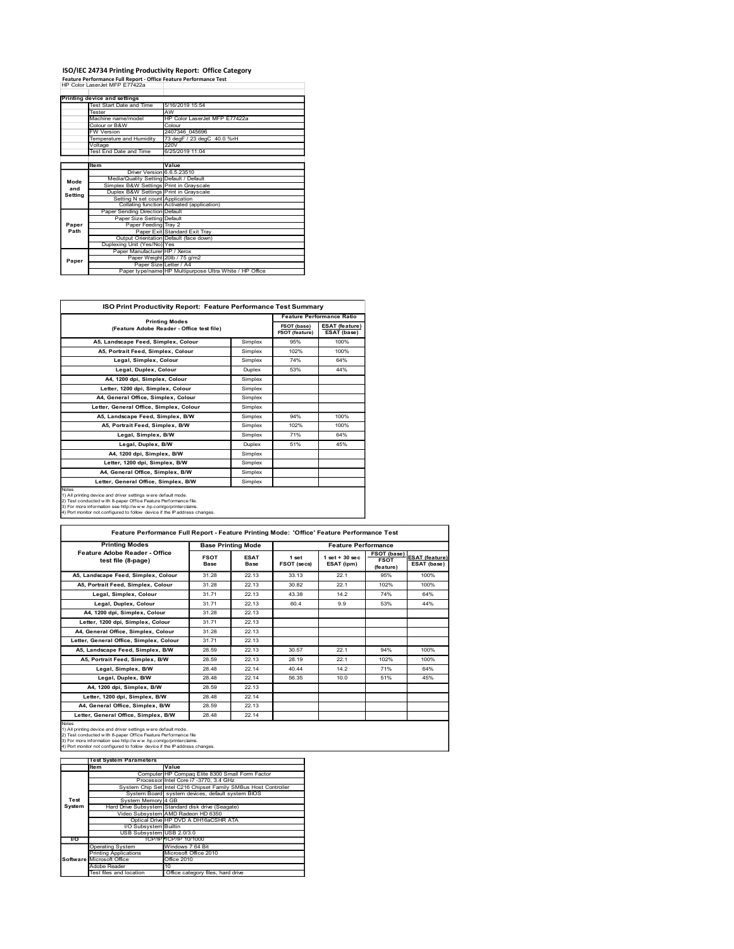## ISO/IEC 24734 Printing Productivity Report: Office Category Feature Performance Full Report - Office Feature Performance Test

|         | Feature Performance Full Report - Office Feature Performance Test                 | ISO/IEC 24734 Printing Productivity Report: Office Category             |                                  |
|---------|-----------------------------------------------------------------------------------|-------------------------------------------------------------------------|----------------------------------|
|         | HP Color LaserJet MFP E77422a                                                     |                                                                         |                                  |
|         | <b>Printing device and settings</b>                                               |                                                                         |                                  |
|         | Test Start Date and Time                                                          | 5/16/2019 15:54                                                         |                                  |
|         | Tester                                                                            | AW                                                                      |                                  |
|         | Machine name/model<br>Colour or B&W                                               | HP Color LaserJet MFP E77422a<br>Colour                                 |                                  |
|         | <b>FW Version</b>                                                                 | 2407346_045696                                                          |                                  |
|         | Temperature and Humidity                                                          | 73 degF / 23 degC 40.0 %rH                                              |                                  |
|         | Voltage<br><b>Test End Date and Time</b>                                          | 220V<br>6/25/2019 11:04                                                 |                                  |
|         | Item                                                                              | Value                                                                   |                                  |
|         | Driver Version 6.6.5.23510                                                        |                                                                         |                                  |
| Mode    | Media/Quality Setting Default / Default                                           |                                                                         |                                  |
| and     | Simplex B&W Settings Print in Grayscale<br>Duplex B&W Settings Print in Grayscale |                                                                         |                                  |
| Setting | Setting N set count Application                                                   |                                                                         |                                  |
|         | Paper Sending Direction Default                                                   | Collating function Activated (application)                              |                                  |
|         | Paper Size Setting Default                                                        |                                                                         |                                  |
| Paper   | Paper Feeding Tray 2                                                              |                                                                         |                                  |
| Path    |                                                                                   | Paper Exit Standard Exit Tray<br>Output Orientation Default (face down) |                                  |
|         | Duplexing Unit (Yes/No) Yes                                                       |                                                                         |                                  |
|         | Paper Manufacturer HP / Xerox                                                     | Paper Weight 20lb / 75 g/m2                                             |                                  |
| Paper   |                                                                                   | Paper Size Letter / A4                                                  |                                  |
|         |                                                                                   | Paper type/name HP Multipurpose Ultra White / HP Office                 |                                  |
|         |                                                                                   | ISO Print Productivity Report: Feature Performance Test Summary         |                                  |
|         |                                                                                   | <b>Printing Modes</b>                                                   | <b>Feature Performance Ratio</b> |

|               | ISO/IEC 24734 Printing Productivity Report: Office Category<br>Feature Performance Full Report - Office Feature Performance Test              |                          |                                          |                    |                               |                                      |             |                            |
|---------------|-----------------------------------------------------------------------------------------------------------------------------------------------|--------------------------|------------------------------------------|--------------------|-------------------------------|--------------------------------------|-------------|----------------------------|
|               | HP Color LaserJet MFP E77422a                                                                                                                 |                          |                                          |                    |                               |                                      |             |                            |
|               | Printing device and settings<br>Test Start Date and Time                                                                                      | 5/16/2019 15:54          |                                          |                    |                               |                                      |             |                            |
|               | Tester<br>Machine name/model                                                                                                                  | lAW                      | HP Color LaserJet MFP E77422a            |                    |                               |                                      |             |                            |
|               | Colour or B&W<br>FW Version                                                                                                                   | Colour<br>2407346 045696 |                                          |                    |                               |                                      |             |                            |
|               | Temperature and Humidity                                                                                                                      | 220V                     | 73 degF / 23 degC 40.0 %rH               |                    |                               |                                      |             |                            |
|               | Voltage<br><b>Test End Date and Time</b>                                                                                                      | 6/25/2019 11:04          |                                          |                    |                               |                                      |             |                            |
|               | ltem                                                                                                                                          | Value                    |                                          |                    |                               |                                      |             |                            |
| Mode          | Driver Version 6.6.5.23510<br>Media/Quality Setting Default / Default                                                                         |                          |                                          |                    |                               |                                      |             |                            |
| and           | Simplex B&W Settings Print in Grayscale<br>Duplex B&W Settings Print in Grayscale                                                             |                          |                                          |                    |                               |                                      |             |                            |
| Setting       | Setting N set count Application<br>Collating function Activated (application)                                                                 |                          |                                          |                    |                               |                                      |             |                            |
|               | Paper Sending Direction Default<br>Paper Size Setting Default                                                                                 |                          |                                          |                    |                               |                                      |             |                            |
| Paper<br>Path | Paper Feeding Tray 2<br>Paper Exit Standard Exit Tray                                                                                         |                          |                                          |                    |                               |                                      |             |                            |
|               | Output Orientation Default (face down)<br>Duplexing Unit (Yes/No) Yes                                                                         |                          |                                          |                    |                               |                                      |             |                            |
|               | Paper Manufacturer HP / Xerox<br>Paper Weight 20lb / 75 g/m2                                                                                  |                          |                                          |                    |                               |                                      |             |                            |
| Paper         | Paper Size Letter / A4<br>Paper type/name HP Multipurpose Ultra White / HP Office                                                             |                          |                                          |                    |                               |                                      |             |                            |
|               |                                                                                                                                               |                          |                                          |                    |                               |                                      |             |                            |
|               |                                                                                                                                               |                          |                                          |                    |                               |                                      |             |                            |
|               | ISO Print Productivity Report: Feature Performance Test Summary                                                                               |                          |                                          |                    |                               |                                      |             |                            |
|               |                                                                                                                                               | <b>Printing Modes</b>    |                                          |                    |                               | <b>Feature Performance Ratio</b>     |             |                            |
|               | (Feature Adobe Reader - Office test file)                                                                                                     |                          |                                          |                    | FSOT (base)<br>FSOT (feature) | <b>ESAT</b> (feature)<br>ESAT (base) |             |                            |
|               | A5, Landscape Feed, Simplex, Colour                                                                                                           |                          |                                          | Simplex            | 95%                           | 100%                                 |             |                            |
|               | A5, Portrait Feed, Simplex, Colour                                                                                                            |                          |                                          | Simplex            | 102%                          | 100%                                 |             |                            |
|               | Legal, Simplex, Colour<br>Legal, Duplex, Colour                                                                                               |                          |                                          | Simplex<br>Duplex  | 74%<br>53%                    | 64%<br>44%                           |             |                            |
|               | A4, 1200 dpi, Simplex, Colour                                                                                                                 |                          |                                          | Simplex            |                               |                                      |             |                            |
|               | Letter, 1200 dpi, Simplex, Colour                                                                                                             |                          |                                          | Simplex            |                               |                                      |             |                            |
|               | A4, General Office, Simplex, Colour<br>Letter, General Office, Simplex, Colour                                                                |                          |                                          | Simplex<br>Simplex |                               |                                      |             |                            |
|               | A5, Landscape Feed, Simplex, B/W                                                                                                              |                          |                                          | Simplex            | 94%                           | 100%                                 |             |                            |
|               | A5, Portrait Feed, Simplex, B/W                                                                                                               |                          |                                          | Simplex            | 102%                          | 100%                                 |             |                            |
|               | Legal, Simplex, B/W                                                                                                                           |                          |                                          | Simplex            | 71%                           | 64%                                  |             |                            |
|               | Legal, Duplex, B/W<br>A4, 1200 dpi, Simplex, B/W                                                                                              |                          |                                          | Duplex<br>Simplex  | 51%                           | 45%                                  |             |                            |
|               | Letter, 1200 dpi, Simplex, B/W                                                                                                                |                          |                                          | Simplex            |                               |                                      |             |                            |
|               | A4, General Office, Simplex, B/W                                                                                                              |                          |                                          | Simplex            |                               |                                      |             |                            |
| Votes         | Letter, General Office, Simplex, B/W                                                                                                          |                          |                                          | Simplex            |                               |                                      |             |                            |
|               | 1) All printing device and driver settings w ere default mode.<br>2) Test conducted with 8-paper Office Feature Performance file.             |                          |                                          |                    |                               |                                      |             |                            |
|               | 3) For more information see http://www.hp.com/go/printerclaims.<br>4) Port monitor not configured to follow device if the IP address changes. |                          |                                          |                    |                               |                                      |             |                            |
|               |                                                                                                                                               |                          |                                          |                    |                               |                                      |             |                            |
|               | Feature Performance Full Report - Feature Printing Mode: 'Office' Feature Performance Test<br><b>Printing Modes</b>                           |                          |                                          |                    |                               | <b>Feature Performance</b>           |             |                            |
|               | Feature Adobe Reader - Office                                                                                                                 |                          | <b>Base Printing Mode</b><br><b>FSOT</b> | <b>ESAT</b>        | 1 set                         | $1 set + 30 sec$                     |             | FSOT (base) ESAT (feature) |
|               | test file (8-page)                                                                                                                            |                          | <b>Dase</b>                              | <b>Dase</b>        | FSOT (secs)                   | ESAT (ipm)                           | (feature)   | ESAT (base)                |
|               | A5, Landscape Feed, Simplex, Colour                                                                                                           |                          | 31.28                                    | 22.13              | 33.13                         | 22.1                                 | 95%         | 100%                       |
|               | A5, Portrait Feed, Simplex, Colour<br>Legal, Simplex, Colour                                                                                  |                          | 31.28<br>31.71                           | 22.13<br>22.13     | 30.82<br>43.38                | 22.1<br>14.2                         | 102%<br>74% | 100%<br>64%                |
|               | Legal, Duplex, Colour                                                                                                                         |                          | 31.71                                    | 22.13              | 60.4                          | 9.9                                  | 53%         | 44%                        |
|               | A4, 1200 dpi, Simplex, Colour                                                                                                                 |                          | 31.28                                    | 22.13              |                               |                                      |             |                            |
|               | Letter, 1200 dpi, Simplex, Colour<br>A4, General Office, Simplex, Colour                                                                      |                          | 31.71<br>31.28                           | 22.13<br>22.13     |                               |                                      |             |                            |
|               | Letter, General Office, Simplex, Colour                                                                                                       |                          | 31.71                                    | 22.13              |                               |                                      |             |                            |
|               | A5, Landscape Feed, Simplex, B/W                                                                                                              |                          | 28.59                                    | 22.13              | 30.57                         | 22.1                                 | 94%         | 100%                       |
|               | A5, Portrait Feed, Simplex, B/W<br>Legal, Simplex, B/W                                                                                        |                          | 28.59                                    | 22.13              | 28.19                         | 22.1                                 | 102%        | 100%                       |
|               |                                                                                                                                               |                          | 28.48                                    | 22.14              | 40.44                         | 14.2                                 | 71%         | 64%                        |

| ISO Print Productivity Report: Feature Performance Test Summary                                                                                                                                                                                                                          |                                                                            |                       |                                   |                                                                                                                     |                               |                                                                                            |                  |                              |
|------------------------------------------------------------------------------------------------------------------------------------------------------------------------------------------------------------------------------------------------------------------------------------------|----------------------------------------------------------------------------|-----------------------|-----------------------------------|---------------------------------------------------------------------------------------------------------------------|-------------------------------|--------------------------------------------------------------------------------------------|------------------|------------------------------|
|                                                                                                                                                                                                                                                                                          |                                                                            |                       |                                   |                                                                                                                     |                               | <b>Feature Performance Ratio</b>                                                           |                  |                              |
| (Feature Adobe Reader - Office test file)                                                                                                                                                                                                                                                | <b>Printing Modes</b>                                                      |                       |                                   |                                                                                                                     | FSOT (base)<br>FSOT (feature) | <b>ESAT (feature)</b><br>ESAT (base)                                                       |                  |                              |
| A5, Landscape Feed, Simplex, Colour                                                                                                                                                                                                                                                      |                                                                            |                       |                                   | Simplex                                                                                                             | 95%                           | 100%                                                                                       |                  |                              |
| A5, Portrait Feed, Simplex, Colour                                                                                                                                                                                                                                                       |                                                                            |                       |                                   | Simplex                                                                                                             | 102%                          | 100%                                                                                       |                  |                              |
| Legal, Simplex, Colour                                                                                                                                                                                                                                                                   |                                                                            |                       |                                   | Simplex                                                                                                             | 74%                           | 64%                                                                                        |                  |                              |
| Legal, Duplex, Colour                                                                                                                                                                                                                                                                    |                                                                            |                       |                                   | Duplex                                                                                                              | 53%                           | 44%                                                                                        |                  |                              |
| A4, 1200 dpi, Simplex, Colour                                                                                                                                                                                                                                                            |                                                                            |                       |                                   | Simplex                                                                                                             |                               |                                                                                            |                  |                              |
| Letter, 1200 dpi, Simplex, Colour                                                                                                                                                                                                                                                        |                                                                            |                       |                                   | Simplex                                                                                                             |                               |                                                                                            |                  |                              |
| A4, General Office, Simplex, Colour<br>Letter, General Office, Simplex, Colour                                                                                                                                                                                                           |                                                                            |                       |                                   | Simplex                                                                                                             |                               |                                                                                            |                  |                              |
| A5, Landscape Feed, Simplex, B/W                                                                                                                                                                                                                                                         |                                                                            |                       |                                   | Simplex                                                                                                             | 94%                           | 100%                                                                                       |                  |                              |
| A5, Portrait Feed, Simplex, B/W                                                                                                                                                                                                                                                          |                                                                            |                       |                                   | Simplex<br>Simplex                                                                                                  | 102%                          | 100%                                                                                       |                  |                              |
| Legal, Simplex, B/W                                                                                                                                                                                                                                                                      |                                                                            |                       |                                   | Simplex                                                                                                             | 71%                           | 64%                                                                                        |                  |                              |
|                                                                                                                                                                                                                                                                                          | Legal, Duplex, B/W                                                         |                       |                                   | Duplex                                                                                                              | 51%                           | 45%                                                                                        |                  |                              |
| A4, 1200 dpi, Simplex, B/W                                                                                                                                                                                                                                                               |                                                                            |                       |                                   | Simplex                                                                                                             |                               |                                                                                            |                  |                              |
| Letter, 1200 dpi, Simplex, B/W                                                                                                                                                                                                                                                           |                                                                            |                       |                                   | Simplex                                                                                                             |                               |                                                                                            |                  |                              |
| A4, General Office, Simplex, B/W                                                                                                                                                                                                                                                         |                                                                            |                       |                                   | Simplex                                                                                                             |                               |                                                                                            |                  |                              |
| Letter, General Office, Simplex, B/W                                                                                                                                                                                                                                                     |                                                                            |                       |                                   | Simplex                                                                                                             |                               |                                                                                            |                  |                              |
| Notes                                                                                                                                                                                                                                                                                    |                                                                            |                       |                                   |                                                                                                                     |                               |                                                                                            |                  |                              |
| 1) All printing device and driver settings w ere default mode.<br>2) Test conducted with 8-paper Office Feature Performance file.<br>3) For more information see http://www.hp.com/go/printerclaims.<br>4) Port monitor not configured to follow device if the IP address changes.       |                                                                            |                       |                                   |                                                                                                                     |                               | Feature Performance Full Report - Feature Printing Mode: 'Office' Feature Performance Test |                  |                              |
| <b>Printing Modes</b>                                                                                                                                                                                                                                                                    |                                                                            |                       |                                   | <b>Base Printing Mode</b>                                                                                           |                               | <b>Feature Performance</b>                                                                 |                  |                              |
| Feature Adobe Reader - Office                                                                                                                                                                                                                                                            |                                                                            |                       |                                   |                                                                                                                     |                               |                                                                                            | FSOT (base)      |                              |
| test file (8-page)                                                                                                                                                                                                                                                                       |                                                                            |                       | <b>FSOT</b><br>Base               | <b>ESAT</b><br><b>Base</b>                                                                                          | 1 set<br>FSOT (secs)          | $1 set + 30 sec$<br>ESAT (ipm)                                                             | <b>FSOT</b>      | ESAT (feature<br>ESAT (base) |
| A5, Landscape Feed, Simplex, Colour                                                                                                                                                                                                                                                      |                                                                            |                       | 31.28                             | 22.13                                                                                                               | 33.13                         | 22.1                                                                                       | (feature)<br>95% | 100%                         |
|                                                                                                                                                                                                                                                                                          |                                                                            |                       | 31.28                             | 22.13                                                                                                               | 30.82                         | 22.1                                                                                       | 102%             | 100%                         |
| A5, Portrait Feed, Simplex, Colour                                                                                                                                                                                                                                                       |                                                                            |                       | 31.71                             | 22.13                                                                                                               | 43.38                         |                                                                                            | 74%              | 64%                          |
| Legal, Simplex, Colour                                                                                                                                                                                                                                                                   |                                                                            |                       |                                   |                                                                                                                     |                               | 14.2                                                                                       |                  |                              |
| Legal, Duplex, Colour                                                                                                                                                                                                                                                                    |                                                                            |                       | 31.71                             | 22.13                                                                                                               | 60.4                          | 9.9                                                                                        | 53%              | 44%                          |
| A4, 1200 dpi, Simplex, Colour                                                                                                                                                                                                                                                            |                                                                            |                       | 31.28                             | 22.13                                                                                                               |                               |                                                                                            |                  |                              |
| Letter, 1200 dpi, Simplex, Colour                                                                                                                                                                                                                                                        |                                                                            |                       | 31.71                             | 22.13                                                                                                               |                               |                                                                                            |                  |                              |
| A4, General Office, Simplex, Colour                                                                                                                                                                                                                                                      |                                                                            |                       | 31.28                             | 22.13                                                                                                               |                               |                                                                                            |                  |                              |
| Letter, General Office, Simplex, Colour                                                                                                                                                                                                                                                  |                                                                            |                       | 31.71                             | 22.13                                                                                                               |                               |                                                                                            |                  |                              |
| A5, Landscape Feed, Simplex, B/W                                                                                                                                                                                                                                                         |                                                                            |                       | 28.59                             | 22.13                                                                                                               | 30.57                         | 22.1                                                                                       | 94%              | 100%                         |
| A5, Portrait Feed, Simplex, B/W                                                                                                                                                                                                                                                          |                                                                            |                       | 28.59                             | 22.13                                                                                                               | 28.19                         | 22.1                                                                                       | 102%             | 100%                         |
| Legal, Simplex, B/W                                                                                                                                                                                                                                                                      |                                                                            |                       | 28.48                             | 22.14                                                                                                               | 40.44                         | 14.2                                                                                       | 71%              | 64%                          |
| Legal, Duplex, B/W                                                                                                                                                                                                                                                                       |                                                                            |                       | 28.48                             | 22.14                                                                                                               | 56.35                         | 10.0                                                                                       | 51%              | 45%                          |
| A4, 1200 dpi, Simplex, B/W                                                                                                                                                                                                                                                               |                                                                            |                       | 28.59                             | 22.13                                                                                                               |                               |                                                                                            |                  |                              |
| Letter, 1200 dpi, Simplex, B/W                                                                                                                                                                                                                                                           |                                                                            |                       | 28.48                             | 22.14                                                                                                               |                               |                                                                                            |                  |                              |
| A4, General Office, Simplex, B/W                                                                                                                                                                                                                                                         |                                                                            |                       | 28.59                             | 22.13                                                                                                               |                               |                                                                                            |                  |                              |
| Letter, General Office, Simplex, B/W                                                                                                                                                                                                                                                     |                                                                            |                       | 28.48                             | 22.14                                                                                                               |                               |                                                                                            |                  |                              |
| Notes<br>1) All printing device and driver settings w ere default mode.<br>2) Test conducted with 8-paper Office Feature Performance file<br>3) For more information see http://www.hp.com/go/printerclaims.<br>4) Port monitor not configured to follow device if the Paddress changes. |                                                                            |                       |                                   |                                                                                                                     |                               |                                                                                            |                  |                              |
| <b>Test System Parameters</b><br>Item                                                                                                                                                                                                                                                    | Value                                                                      |                       |                                   |                                                                                                                     |                               |                                                                                            |                  |                              |
|                                                                                                                                                                                                                                                                                          |                                                                            |                       |                                   | Computer HP Compaq Elite 8300 Small Form Factor                                                                     |                               |                                                                                            |                  |                              |
|                                                                                                                                                                                                                                                                                          | Processor Intel Core i7 -3770, 3.4 GHz                                     |                       |                                   |                                                                                                                     |                               |                                                                                            |                  |                              |
|                                                                                                                                                                                                                                                                                          |                                                                            |                       |                                   | System Chip Set Intel C216 Chipset Family SMBus Host Controller<br>System Board system devices, default system BIOS |                               |                                                                                            |                  |                              |
| Test                                                                                                                                                                                                                                                                                     | System Memory 4 GB                                                         |                       |                                   |                                                                                                                     |                               |                                                                                            |                  |                              |
| System<br>Hard Drive Subsystem Standard disk drive (Seagate)                                                                                                                                                                                                                             |                                                                            |                       |                                   |                                                                                                                     |                               |                                                                                            |                  |                              |
|                                                                                                                                                                                                                                                                                          | Video Subsystem AMD Radeon HD 6350<br>Optical Drive HP DVD A DH16aCSHR ATA |                       |                                   |                                                                                                                     |                               |                                                                                            |                  |                              |
|                                                                                                                                                                                                                                                                                          | I/O Subsystem Builtin                                                      |                       |                                   |                                                                                                                     |                               |                                                                                            |                  |                              |
| <b>NO</b>                                                                                                                                                                                                                                                                                | USB Subsystem USB 2.0/3.0<br>TCP/IP TCP/IP 10/1000                         |                       |                                   |                                                                                                                     |                               |                                                                                            |                  |                              |
| <b>Operating System</b>                                                                                                                                                                                                                                                                  |                                                                            | Windows 7 64 Bit      |                                   |                                                                                                                     |                               |                                                                                            |                  |                              |
| Printing Applications                                                                                                                                                                                                                                                                    |                                                                            | Microsoft Office 2010 |                                   |                                                                                                                     |                               |                                                                                            |                  |                              |
| Software<br>Microsoft Office<br>Adobe Reader                                                                                                                                                                                                                                             |                                                                            | Office 2010           |                                   |                                                                                                                     |                               |                                                                                            |                  |                              |
| Test files and location                                                                                                                                                                                                                                                                  |                                                                            |                       | Office category files, hard drive |                                                                                                                     |                               |                                                                                            |                  |                              |
|                                                                                                                                                                                                                                                                                          |                                                                            |                       |                                   |                                                                                                                     |                               |                                                                                            |                  |                              |
|                                                                                                                                                                                                                                                                                          |                                                                            |                       |                                   |                                                                                                                     |                               |                                                                                            |                  |                              |
|                                                                                                                                                                                                                                                                                          |                                                                            |                       |                                   |                                                                                                                     |                               |                                                                                            |                  |                              |
|                                                                                                                                                                                                                                                                                          |                                                                            |                       |                                   |                                                                                                                     |                               |                                                                                            |                  |                              |
|                                                                                                                                                                                                                                                                                          |                                                                            |                       |                                   |                                                                                                                     |                               |                                                                                            |                  |                              |
|                                                                                                                                                                                                                                                                                          |                                                                            |                       |                                   |                                                                                                                     |                               |                                                                                            |                  |                              |
|                                                                                                                                                                                                                                                                                          |                                                                            |                       |                                   |                                                                                                                     |                               |                                                                                            |                  |                              |
|                                                                                                                                                                                                                                                                                          |                                                                            |                       |                                   |                                                                                                                     |                               |                                                                                            |                  |                              |

|           | <b>Test System Parameters</b> |                                                                 |
|-----------|-------------------------------|-----------------------------------------------------------------|
|           | <b>Item</b>                   | Value                                                           |
|           |                               | Computer HP Compag Elite 8300 Small Form Factor                 |
|           |                               | Processor Intel Core i7 -3770, 3.4 GHz                          |
|           |                               | System Chip Set Intel C216 Chipset Family SMBus Host Controller |
|           |                               | System Board system devices, default system BIOS                |
| Test      | System Memory 4 GB            |                                                                 |
| System    |                               | Hard Drive Subsystem Standard disk drive (Seagate)              |
|           |                               | Video Subsystem AMD Radeon HD 6350                              |
|           |                               | Optical Drive HP DVD A DH16aCSHR ATA                            |
|           | I/O Subsystem Builtin         |                                                                 |
|           | USB Subsystem USB 2.0/3.0     |                                                                 |
| <b>VO</b> |                               | TCP/IP TCP/IP 10/1000                                           |
|           | Operating System              | Windows 7 64 Bit                                                |
|           | <b>Printing Applications</b>  | Microsoft Office 2010                                           |
|           | Software Microsoft Office     | Office 2010                                                     |
|           | Adobe Reader                  | 10                                                              |
|           | Test files and location       | Office category files, hard drive                               |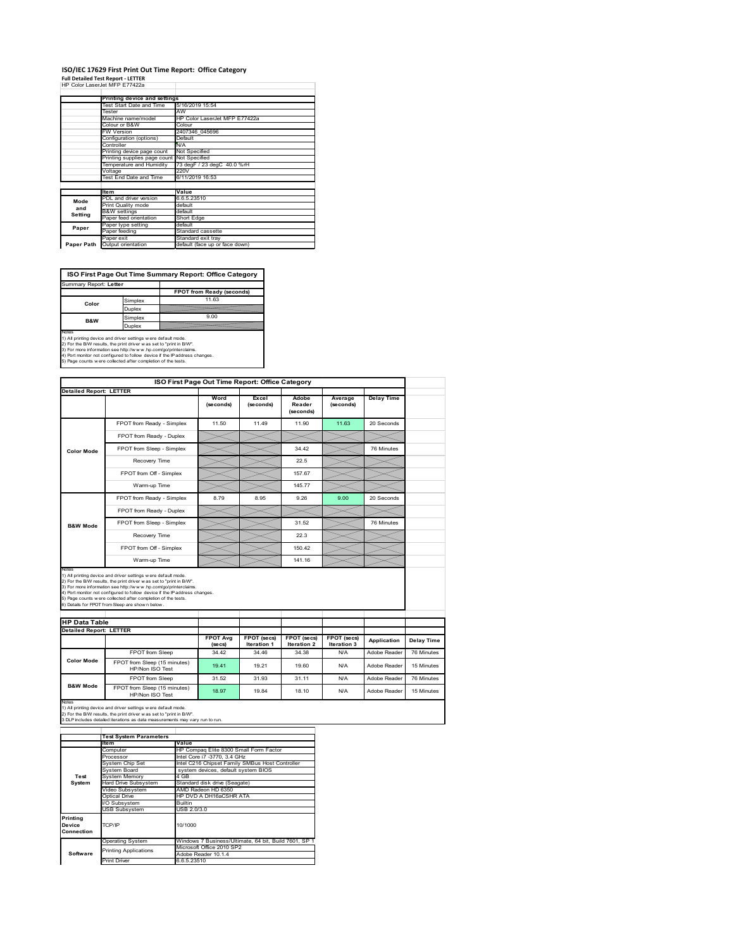### **ISO/IEC 17629 First Print Out Time Report: Office Category Full Detailed Test Report ‐ LETTER** HP Color LaserJet MFP E77422a

|            | 88 CAROL LASHOH MEP F774224                |                                                               |  |  |  |
|------------|--------------------------------------------|---------------------------------------------------------------|--|--|--|
|            | Printing device and settings               |                                                               |  |  |  |
|            | Test Start Date and Time                   | 5/16/2019 15:54                                               |  |  |  |
|            | Tester                                     | AW                                                            |  |  |  |
|            | Machine name/model                         | HP Color LaserJet MFP E77422a                                 |  |  |  |
|            | Colour or B&W                              | Colour                                                        |  |  |  |
|            | <b>FW Version</b>                          | 2407346 045696                                                |  |  |  |
|            | Configuration (options)                    | Default<br>N/A<br>Not Specified<br>73 degF / 23 degC 40.0 %rH |  |  |  |
|            | Controller                                 |                                                               |  |  |  |
|            | Printing device page count                 |                                                               |  |  |  |
|            | Printing supplies page count Not Specified |                                                               |  |  |  |
|            | Temperature and Humidity                   |                                                               |  |  |  |
|            | Voltage                                    | 220V                                                          |  |  |  |
|            | <b>Test End Date and Time</b>              | 6/11/2019 16:53                                               |  |  |  |
|            |                                            |                                                               |  |  |  |
|            | <b>Item</b>                                | Value                                                         |  |  |  |
| Mode       | PDL and driver version                     | 6.6.5.23510                                                   |  |  |  |
| and        | Print Quality mode                         | default                                                       |  |  |  |
| Setting    | <b>B&amp;W</b> settings                    | default                                                       |  |  |  |
|            | Paper feed orientation                     | Short Edge                                                    |  |  |  |
| Paper      | Paper type setting                         | default                                                       |  |  |  |
|            | Paper feeding                              | Standard cassette                                             |  |  |  |
|            | Paper exit                                 | Standard exit tray                                            |  |  |  |
| Paper Path | Output orientation                         | default (face up or face down)                                |  |  |  |

**ISO First Page Out Time Summary Report: Office Category**

| Summary Report: Letter |         |                           |
|------------------------|---------|---------------------------|
|                        |         | FPOT from Ready (seconds) |
| Color                  | Simplex | 11.63                     |
|                        | Duplex  |                           |
| <b>B&amp;W</b>         | Simplex | 9.00                      |
|                        | Duplex  |                           |
| Notes                  |         |                           |

Notes<br>1) All printing device and driver settings were default mode.<br>2) For the BW results, the print driver was set to "print in BW".<br>3) For more information see http://www.hp.com/golprinterclaims.<br>4) Rot monitor not confi

| ISO First Page Out Time Report: Office Category |                                                                                                                                                                                                                                                                                                                                           |                            |                            |                                   |                            |                   |
|-------------------------------------------------|-------------------------------------------------------------------------------------------------------------------------------------------------------------------------------------------------------------------------------------------------------------------------------------------------------------------------------------------|----------------------------|----------------------------|-----------------------------------|----------------------------|-------------------|
| <b>Detailed Report: LETTER</b>                  |                                                                                                                                                                                                                                                                                                                                           | Word<br>(seconds)          | Excel<br>(seconds)         | Adobe<br>Reader<br>(seconds)      | Average<br>(seconds)       | <b>Delay Time</b> |
|                                                 | FPOT from Ready - Simplex                                                                                                                                                                                                                                                                                                                 | 11.50                      | 11.49                      | 11.90                             | 11.63                      | 20 Seconds        |
|                                                 | FPOT from Ready - Duplex                                                                                                                                                                                                                                                                                                                  |                            |                            |                                   |                            |                   |
| <b>Color Mode</b>                               | FPOT from Sleep - Simplex                                                                                                                                                                                                                                                                                                                 |                            |                            | 34 42                             |                            | 76 Minutes        |
|                                                 | Recovery Time                                                                                                                                                                                                                                                                                                                             |                            |                            | 22.5                              |                            |                   |
|                                                 | FPOT from Off - Simplex                                                                                                                                                                                                                                                                                                                   |                            |                            | 157.67                            |                            |                   |
|                                                 | Warm-up Time                                                                                                                                                                                                                                                                                                                              |                            |                            | 145.77                            |                            |                   |
|                                                 | FPOT from Ready - Simplex                                                                                                                                                                                                                                                                                                                 | 8.79                       | 8.95                       | 9.26                              | 9.00                       | 20 Seconds        |
|                                                 | FPOT from Ready - Duplex                                                                                                                                                                                                                                                                                                                  |                            |                            |                                   |                            |                   |
| <b>B&amp;W Mode</b>                             | FPOT from Sleep - Simplex                                                                                                                                                                                                                                                                                                                 |                            |                            | 31.52                             |                            | 76 Minutes        |
|                                                 | Recovery Time                                                                                                                                                                                                                                                                                                                             |                            |                            | 22.3                              |                            |                   |
|                                                 | FPOT from Off - Simplex                                                                                                                                                                                                                                                                                                                   |                            |                            | 150.42                            |                            |                   |
|                                                 | Warm-up Time                                                                                                                                                                                                                                                                                                                              |                            |                            | 141.16                            |                            |                   |
|                                                 | 1) All printing device and driver settings w ere default mode.                                                                                                                                                                                                                                                                            |                            |                            |                                   |                            |                   |
| <b>HP Data Table</b>                            | 2) For the B/W results, the print driver was set to "print in B/W".<br>3) For more information see http://www.hp.com/go/printerclaims.<br>4) Port monitor not configured to follow device if the IP address changes.<br>5) Page counts w ere collected after completion of the tests.<br>6) Details for FPOT from Sleep are show n below. |                            |                            |                                   |                            |                   |
| <b>Detailed Report: LETTER</b>                  |                                                                                                                                                                                                                                                                                                                                           |                            |                            |                                   |                            |                   |
|                                                 |                                                                                                                                                                                                                                                                                                                                           | <b>FPOT Avg</b><br>(se cs) | FPOT (secs)<br>Iteration 1 | <b>FPOT (secs)</b><br>Iteration 2 | FPOT (secs)<br>Iteration 3 | Application       |
|                                                 | FPOT from Sleep                                                                                                                                                                                                                                                                                                                           | 34.42                      | 34.46                      | 34.38                             | N/A                        | Adobe Reader      |
| Color Mode                                      | FPOT from Sleep (15 minutes)<br>HP/Non ISO Test                                                                                                                                                                                                                                                                                           | 19.41                      | 19 21                      | 19.60                             | N/A                        | Adobe Reader      |
| <b>B&amp;W Mode</b>                             | <b>FPOT</b> from Sleep                                                                                                                                                                                                                                                                                                                    | 31.52                      | 31 93                      | 31 11                             | N/A                        | Adobe Reader      |

Notes<br>1) All printing device and driver settings w ere default mode.<br>2) For the B/W results, the print driver w as set to "print in B/W".<br>3 DLP includes detailed iterations as data measurements may vary run to run.

|            | <b>Test System Parameters</b> |                                                       |
|------------|-------------------------------|-------------------------------------------------------|
|            | <b>Item</b>                   | Value                                                 |
|            | Computer                      | HP Compag Elite 8300 Small Form Factor                |
|            | Processor                     | Intel Core i7 -3770, 3.4 GHz                          |
|            | System Chip Set               | Intel C216 Chipset Family SMBus Host Controller       |
|            | System Board                  | system devices, default system BIOS                   |
| Test       | <b>System Memory</b>          | 4 GB                                                  |
| System     | <b>Hard Drive Subsystem</b>   | Standard disk drive (Seagate)                         |
|            | Video Subsystem               | AMD Radeon HD 6350                                    |
|            | Optical Drive                 | HP DVD A DH16aCSHR ATA                                |
|            | I/O Subsystem                 | Builtin                                               |
|            | <b>USB Subsystem</b>          | USB 2.0/3.0                                           |
| Printing   |                               |                                                       |
| Device     | TCP/IP                        | 10/1000                                               |
| Connection |                               |                                                       |
|            | <b>Operating System</b>       | Windows 7 Business/Ultimate, 64 bit, Build 7601, SP 1 |
|            | <b>Printing Applications</b>  | Microsoft Office 2010 SP2                             |
| Software   |                               | Adobe Reader 10.1.4                                   |
|            | <b>Print Driver</b>           | 6.6.5.23510                                           |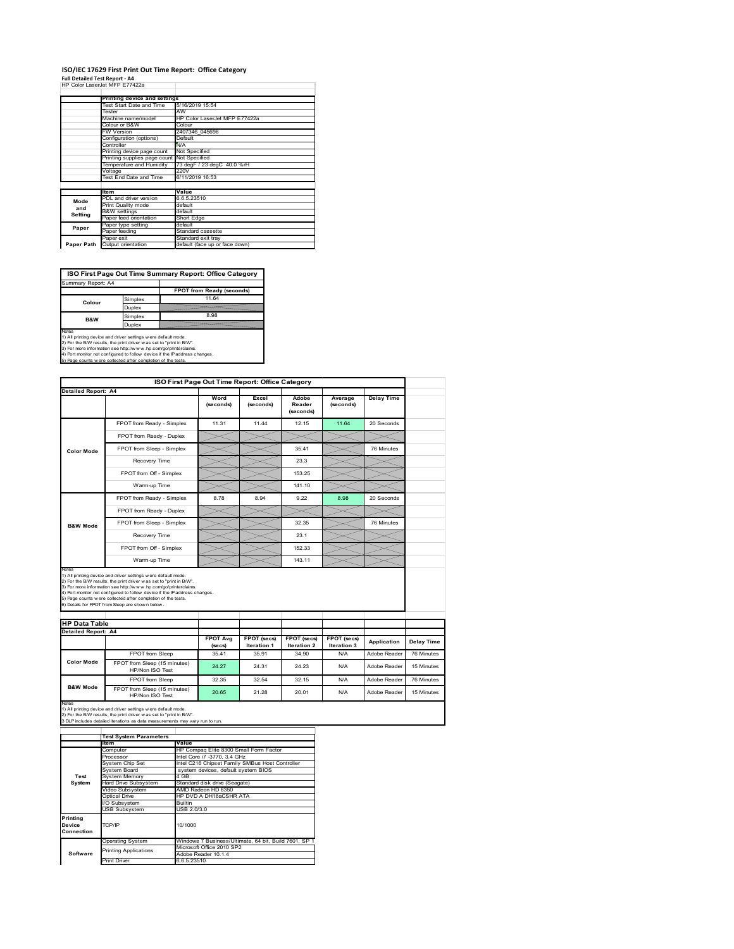# **ISO/IEC 17629 First Print Out Time Report: Office Category**

**Full Detailed Test Report ‐ A4** HP Color LaserJet MFP E77422a

|            | $\sim$ 0.00 0.00 0.000 0.000 0.000 0.000 0.000 0.000 0.000 0.000 0.000 0.000 0.000 0.000 0.000 0.000 0.000 0.000 0.000 0.000 0.000 0.000 0.000 0.000 0.000 0.000 0.000 0.000 0.000 0.000 0.000 0.000 0.000 0.000 0.000 0.000 0. |                                |  |  |
|------------|---------------------------------------------------------------------------------------------------------------------------------------------------------------------------------------------------------------------------------|--------------------------------|--|--|
|            | Printing device and settings                                                                                                                                                                                                    |                                |  |  |
|            | Test Start Date and Time                                                                                                                                                                                                        | 5/16/2019 15:54                |  |  |
|            |                                                                                                                                                                                                                                 |                                |  |  |
|            | Tester                                                                                                                                                                                                                          | AW                             |  |  |
|            | Machine name/model                                                                                                                                                                                                              | HP Color LaserJet MFP E77422a  |  |  |
|            | Colour or B&W                                                                                                                                                                                                                   | Colour                         |  |  |
|            | FW Version                                                                                                                                                                                                                      | 2407346 045696                 |  |  |
|            | Configuration (options)                                                                                                                                                                                                         | Default                        |  |  |
|            | Controller                                                                                                                                                                                                                      | N/A                            |  |  |
|            | Printing device page count                                                                                                                                                                                                      | Not Specified                  |  |  |
|            | Printing supplies page count Not Specified                                                                                                                                                                                      |                                |  |  |
|            | Temperature and Humidity                                                                                                                                                                                                        | 73 degF / 23 degC 40.0 %rH     |  |  |
|            | Voltage                                                                                                                                                                                                                         | 220V                           |  |  |
|            | Test End Date and Time                                                                                                                                                                                                          | 6/11/2019 16:53                |  |  |
|            |                                                                                                                                                                                                                                 |                                |  |  |
|            | <b>Item</b>                                                                                                                                                                                                                     | Value                          |  |  |
| Mode       | PDL and driver version                                                                                                                                                                                                          | 6.6.5.23510                    |  |  |
| and        | Print Quality mode                                                                                                                                                                                                              | default                        |  |  |
| Setting    | <b>B&amp;W</b> settings                                                                                                                                                                                                         | default                        |  |  |
|            | Paper feed orientation                                                                                                                                                                                                          | Short Edge                     |  |  |
| Paper      | Paper type setting                                                                                                                                                                                                              | default                        |  |  |
|            | Paper feeding                                                                                                                                                                                                                   | Standard cassette              |  |  |
|            | Paper exit                                                                                                                                                                                                                      | Standard exit tray             |  |  |
| Paper Path | Output orientation                                                                                                                                                                                                              | default (face up or face down) |  |  |

**ISO First Page Out Time Summary Report: Office Category**

| Summary Report: A4 |         |                           |
|--------------------|---------|---------------------------|
|                    |         | FPOT from Ready (seconds) |
| Colour             | Simplex | 11.64                     |
|                    | Duplex  |                           |
| B&W                | Simplex | 8.98                      |
| $\cdots$           | Duplex  |                           |

Notes<br>1) All printing device and driver settings were default mode.<br>2) For the BAV results, the print driver was set to "print in BAV".<br>3) For more information see http://www.hp.com/golprinterclaims.<br>4) Port monitor not co

|                                             |                                                                                                                                                                                                                                                                                                                                                                                                             | ISO First Page Out Time Report: Office Category |                                   |                                   |                            |                   |
|---------------------------------------------|-------------------------------------------------------------------------------------------------------------------------------------------------------------------------------------------------------------------------------------------------------------------------------------------------------------------------------------------------------------------------------------------------------------|-------------------------------------------------|-----------------------------------|-----------------------------------|----------------------------|-------------------|
| <b>Detailed Report: A4</b>                  |                                                                                                                                                                                                                                                                                                                                                                                                             | Word<br>(seconds)                               | Excel<br>(seconds)                | Adobe<br>Reader<br>(seconds)      | Average<br>(seconds)       | <b>Delay Time</b> |
|                                             | FPOT from Ready - Simplex                                                                                                                                                                                                                                                                                                                                                                                   | 11.31                                           | 11 44                             | 12 15                             | 11.64                      | 20 Seconds        |
|                                             | FPOT from Ready - Duplex                                                                                                                                                                                                                                                                                                                                                                                    |                                                 |                                   |                                   |                            |                   |
| <b>Color Mode</b>                           | FPOT from Sleep - Simplex                                                                                                                                                                                                                                                                                                                                                                                   |                                                 |                                   | 35.41                             |                            | 76 Minutes        |
|                                             | Recovery Time                                                                                                                                                                                                                                                                                                                                                                                               |                                                 |                                   | 23.3                              |                            |                   |
|                                             | FPOT from Off - Simplex                                                                                                                                                                                                                                                                                                                                                                                     |                                                 |                                   | 153 25                            |                            |                   |
|                                             | Warm-up Time                                                                                                                                                                                                                                                                                                                                                                                                |                                                 |                                   | 141.10                            |                            |                   |
|                                             | FPOT from Ready - Simplex                                                                                                                                                                                                                                                                                                                                                                                   | 8.78                                            | 8.94                              | 9.22                              | 8.98                       | 20 Seconds        |
|                                             | FPOT from Ready - Duplex                                                                                                                                                                                                                                                                                                                                                                                    |                                                 |                                   |                                   |                            |                   |
| <b>B&amp;W Mode</b>                         | FPOT from Sleep - Simplex                                                                                                                                                                                                                                                                                                                                                                                   |                                                 |                                   | 32.35                             |                            | 76 Minutes        |
|                                             | Recovery Time                                                                                                                                                                                                                                                                                                                                                                                               |                                                 |                                   | 23.1                              |                            |                   |
|                                             |                                                                                                                                                                                                                                                                                                                                                                                                             |                                                 |                                   |                                   |                            |                   |
|                                             | FPOT from Off - Simplex                                                                                                                                                                                                                                                                                                                                                                                     |                                                 |                                   | 152.33                            |                            |                   |
| Notes                                       | Warm-up Time                                                                                                                                                                                                                                                                                                                                                                                                |                                                 |                                   | 143.11                            |                            |                   |
| <b>HP Data Table</b><br>Detailed Report: A4 | 1) All printing device and driver settings w ere default mode.<br>2) For the B/W results, the print driver was set to "print in B/W".<br>3) For more information see http://www.hp.com/go/printerclaims.<br>4) Port monitor not configured to follow device if the IP address changes.<br>5) Page counts w ere collected after completion of the tests.<br>6) Details for FPOT from Sleep are show n below. | <b>FPOT Avg</b><br>(se cs)                      | <b>FPOT</b> (secs)<br>Iteration 1 | <b>FPOT</b> (secs)<br>Iteration 2 | FPOT (secs)<br>Iteration 3 | Application       |
|                                             | FPOT from Sleep                                                                                                                                                                                                                                                                                                                                                                                             | 35.41                                           | 35.91                             | 34.90                             | N/A                        | Adobe Reader      |
| <b>Color Mode</b>                           | FPOT from Sleep (15 minutes)<br>HP/Non ISO Test                                                                                                                                                                                                                                                                                                                                                             | 24.27                                           | 24.31                             | 24.23                             | N/A                        | Adobe Reader      |
| <b>B&amp;W Mode</b>                         | FPOT from Sleep                                                                                                                                                                                                                                                                                                                                                                                             | 32.35                                           | 32.54                             | 32.15                             | N/A                        | Adobe Reader      |

|            | <b>Test System Parameters</b>                         |                                                       |  |  |
|------------|-------------------------------------------------------|-------------------------------------------------------|--|--|
|            | <b>Item</b>                                           | Value                                                 |  |  |
|            | Computer                                              | HP Compag Elite 8300 Small Form Factor                |  |  |
|            | Processor                                             | Intel Core i7 -3770, 3.4 GHz                          |  |  |
|            | System Chip Set                                       | Intel C216 Chipset Family SMBus Host Controller       |  |  |
|            | System Board                                          | system devices, default system BIOS                   |  |  |
| Test       | <b>System Memory</b>                                  | 4 GB                                                  |  |  |
| System     | Hard Drive Subsystem<br>Standard disk drive (Seagate) |                                                       |  |  |
|            | Video Subsystem                                       | AMD Radeon HD 6350                                    |  |  |
|            | Optical Drive                                         | HP DVD A DH16aCSHR ATA                                |  |  |
|            | I/O Subsystem                                         | <b>Builtin</b>                                        |  |  |
|            | <b>USB Subsystem</b>                                  | USB 2.0/3.0                                           |  |  |
| Printing   |                                                       |                                                       |  |  |
| Device     | TCP/IP                                                | 10/1000                                               |  |  |
| Connection |                                                       |                                                       |  |  |
|            |                                                       | Windows 7 Business/Ultimate, 64 bit, Build 7601, SP 1 |  |  |
|            | <b>Operating System</b>                               |                                                       |  |  |
|            | <b>Printing Applications</b>                          | Microsoft Office 2010 SP2                             |  |  |
| Software   |                                                       | Adobe Reader 10.1.4                                   |  |  |
|            | <b>Print Driver</b>                                   | 6.6.5.23510                                           |  |  |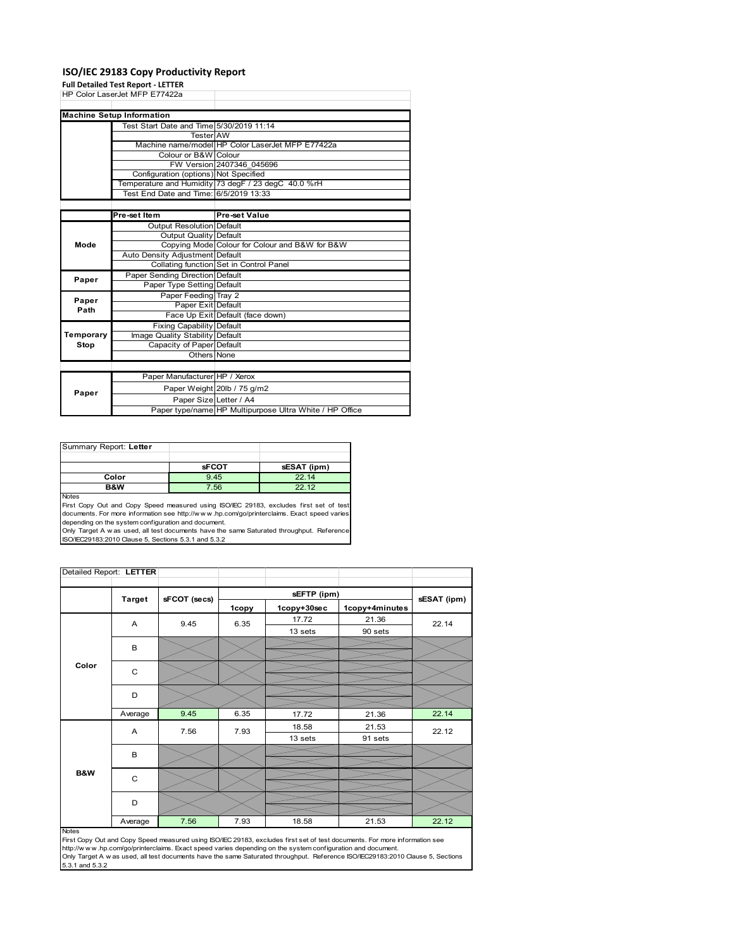### **ISO/IEC 29183 Copy Productivity Report**

**Full Detailed Test Report ‐ LETTER**

|           | HP Color LaserJet MFP E77422a            |                                                         |
|-----------|------------------------------------------|---------------------------------------------------------|
|           |                                          |                                                         |
|           | <b>Machine Setup Information</b>         |                                                         |
|           | Test Start Date and Time 5/30/2019 11:14 |                                                         |
|           | Tester AW                                |                                                         |
|           |                                          | Machine name/model HP Color LaserJet MFP E77422a        |
|           | Colour or B&W Colour                     |                                                         |
|           |                                          | FW Version 2407346 045696                               |
|           | Configuration (options) Not Specified    |                                                         |
|           |                                          | Temperature and Humidity 73 degF / 23 degC 40.0 %rH     |
|           | Test End Date and Time: 6/5/2019 13:33   |                                                         |
|           |                                          |                                                         |
|           | Pre-set Item                             | <b>Pre-set Value</b>                                    |
|           | Output Resolution Default                |                                                         |
|           | Output Quality Default                   |                                                         |
| Mode      |                                          | Copying Mode Colour for Colour and B&W for B&W          |
|           | Auto Density Adjustment Default          |                                                         |
|           |                                          | Collating function Set in Control Panel                 |
| Paper     | Paper Sending Direction Default          |                                                         |
|           | Paper Type Setting Default               |                                                         |
| Paper     | Paper Feeding Tray 2                     |                                                         |
| Path      | Paper Exit Default                       |                                                         |
|           |                                          | Face Up Exit Default (face down)                        |
|           | <b>Fixing Capability Default</b>         |                                                         |
| Temporary | Image Quality Stability Default          |                                                         |
| Stop      | Capacity of Paper Default                |                                                         |
|           | Others None                              |                                                         |
|           |                                          |                                                         |
|           | Paper Manufacturer HP / Xerox            |                                                         |
| Paper     |                                          | Paper Weight 20lb / 75 g/m2                             |
|           | Paper Size Letter / A4                   |                                                         |
|           |                                          | Paper type/name HP Multipurpose Ultra White / HP Office |

| Summary Report: Letter |              |             |
|------------------------|--------------|-------------|
|                        |              |             |
|                        | <b>sFCOT</b> | sESAT (ipm) |
| Color                  | 9.45         | 22 14       |
| B&W                    | 7.56         | 22.12       |
| <b>Notes</b>           |              |             |

Notes<br>First Copy Out and Copy Speed measured using ISO/IEC 29183, excludes first set of test<br>documents. For more information see http://www..hp.com/go/printerclaims. Exact speed varies

depending on the system configuration and document.<br>Only Target A w as used, all test documents have the same Saturated throughput. Reference<br>ISO/IEC29183:2010 Clause 5, Sections 5.3.1 and 5.3.2

| Detailed Report: LETTER |               |              |       |             |                |             |
|-------------------------|---------------|--------------|-------|-------------|----------------|-------------|
|                         | <b>Target</b> | sFCOT (secs) |       | sEFTP (ipm) |                | sESAT (ipm) |
|                         |               |              | 1copy | 1copy+30sec | 1copy+4minutes |             |
|                         | A             | 9.45         | 6.35  | 17.72       | 21.36          | 22.14       |
|                         |               |              |       | 13 sets     | 90 sets        |             |
|                         | B             |              |       |             |                |             |
|                         |               |              |       |             |                |             |
| Color                   | C             |              |       |             |                |             |
|                         | D             |              |       |             |                |             |
|                         |               |              |       |             |                |             |
|                         | Average       | 9.45         | 6.35  | 17.72       | 21.36          | 22.14       |
|                         | A             | 7.56         | 7.93  | 18.58       | 21.53          | 22.12       |
|                         |               |              |       | 13 sets     | 91 sets        |             |
|                         | B             |              |       |             |                |             |
|                         |               |              |       |             |                |             |
| B&W                     | C             |              |       |             |                |             |
|                         | D             |              |       |             |                |             |
|                         | Average       | 7.56         | 7.93  | 18.58       | 21.53          | 22.12       |

### Notes

First Copy Out and Copy Speed measured using ISO/IEC 29183, excludes first set of test documents. For more information see<br>http://w w w.hp.com/go/printerclaims. Exact speed varies depending on the system configuration and 5.3.1 and 5.3.2